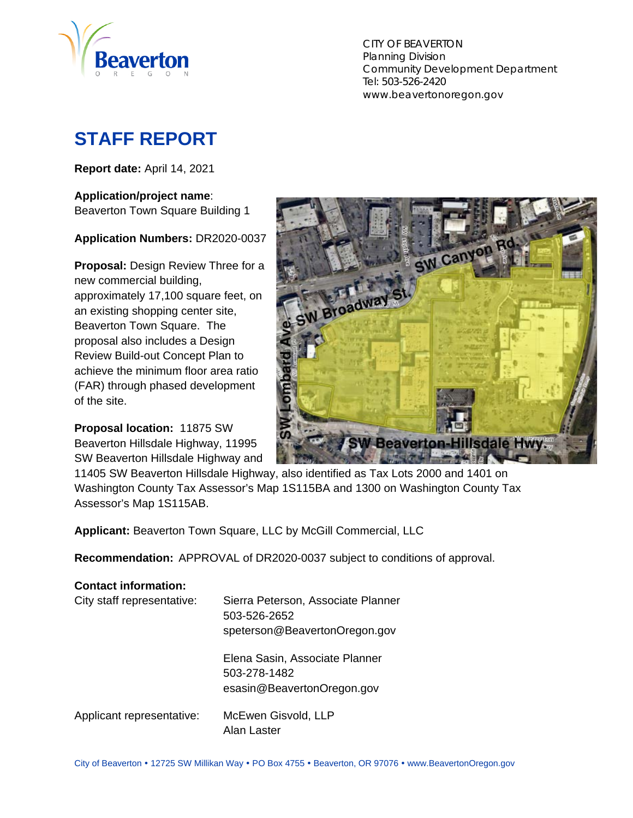

CITY OF BEAVERTON Planning Division Community Development Department Tel: 503-526-2420 www.beavertonoregon.gov

# <span id="page-0-0"></span>**STAFF REPORT**

**Report date:** April 14, 2021

#### **Application/project name**:

Beaverton Town Square Building 1

#### **Application Numbers:** DR2020-0037

**Proposal:** Design Review Three for a new commercial building, approximately 17,100 square feet, on an existing shopping center site, Beaverton Town Square. The proposal also includes a Design Review Build-out Concept Plan to achieve the minimum floor area ratio (FAR) through phased development of the site.

**Proposal location:** 11875 SW Beaverton Hillsdale Highway, 11995 SW Beaverton Hillsdale Highway and



11405 SW Beaverton Hillsdale Highway, also identified as Tax Lots 2000 and 1401 on Washington County Tax Assessor's Map 1S115BA and 1300 on Washington County Tax Assessor's Map 1S115AB.

**Applicant:** Beaverton Town Square, LLC by McGill Commercial, LLC

**Recommendation:** APPROVAL of DR2020-0037 subject to conditions of approval.

### **Contact information:**  City staff representative: Sierra Peterson, Associate Planner 503-526-2652 speterson@BeavertonOregon.gov Elena Sasin, Associate Planner 503-278-1482 esasin@BeavertonOregon.gov Applicant representative: McEwen Gisvold, LLP Alan Laster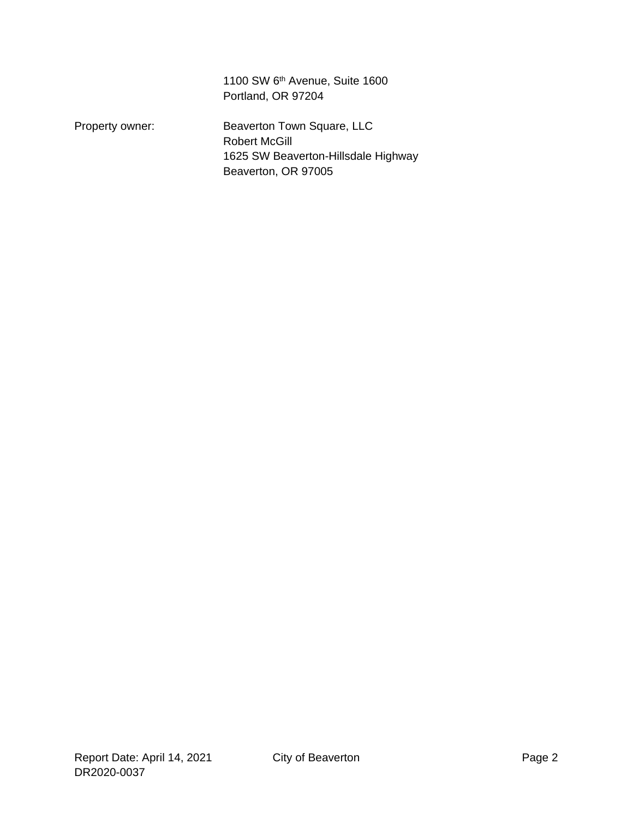1100 SW 6<sup>th</sup> Avenue, Suite 1600 Portland, OR 97204

Property owner: Beaverton Town Square, LLC Robert McGill 1625 SW Beaverton-Hillsdale Highway Beaverton, OR 97005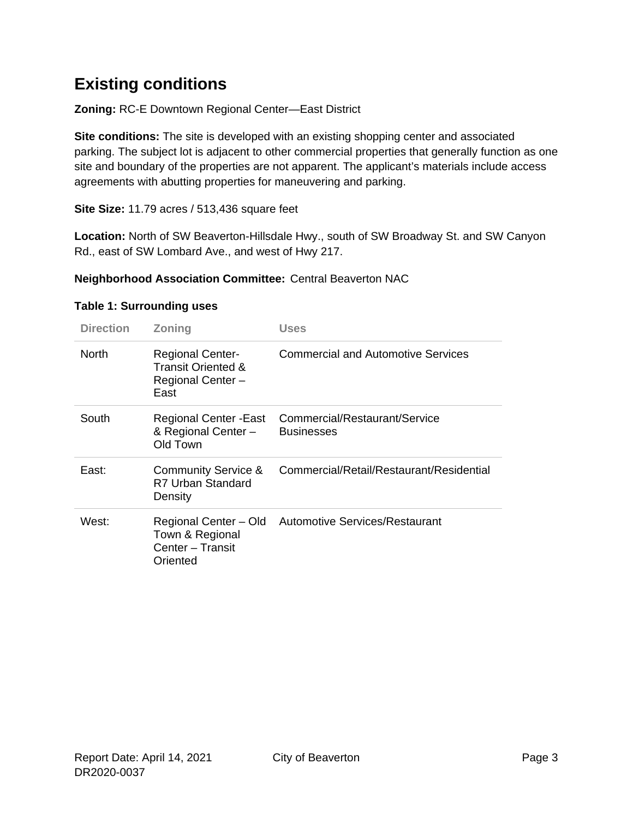# **Existing conditions**

**Zoning:** RC-E Downtown Regional Center—East District

**Site conditions:** The site is developed with an existing shopping center and associated parking. The subject lot is adjacent to other commercial properties that generally function as one site and boundary of the properties are not apparent. The applicant's materials include access agreements with abutting properties for maneuvering and parking.

**Site Size:** 11.79 acres / 513,436 square feet

**Location:** North of SW Beaverton-Hillsdale Hwy., south of SW Broadway St. and SW Canyon Rd., east of SW Lombard Ave., and west of Hwy 217.

#### **Neighborhood Association Committee:** Central Beaverton NAC

| <b>Direction</b> | <b>Zoning</b>                                                              | Uses                                                 |
|------------------|----------------------------------------------------------------------------|------------------------------------------------------|
| <b>North</b>     | <b>Regional Center-</b><br>Transit Oriented &<br>Regional Center -<br>East | <b>Commercial and Automotive Services</b>            |
| South            | Regional Center - East<br>& Regional Center -<br>Old Town                  | Commercial/Restaurant/Service<br><b>Businesses</b>   |
| East:            | <b>Community Service &amp;</b><br>R7 Urban Standard<br>Density             | Commercial/Retail/Restaurant/Residential             |
| West:            | Town & Regional<br>Center - Transit<br>Oriented                            | Regional Center - Old Automotive Services/Restaurant |

#### **Table 1: Surrounding uses**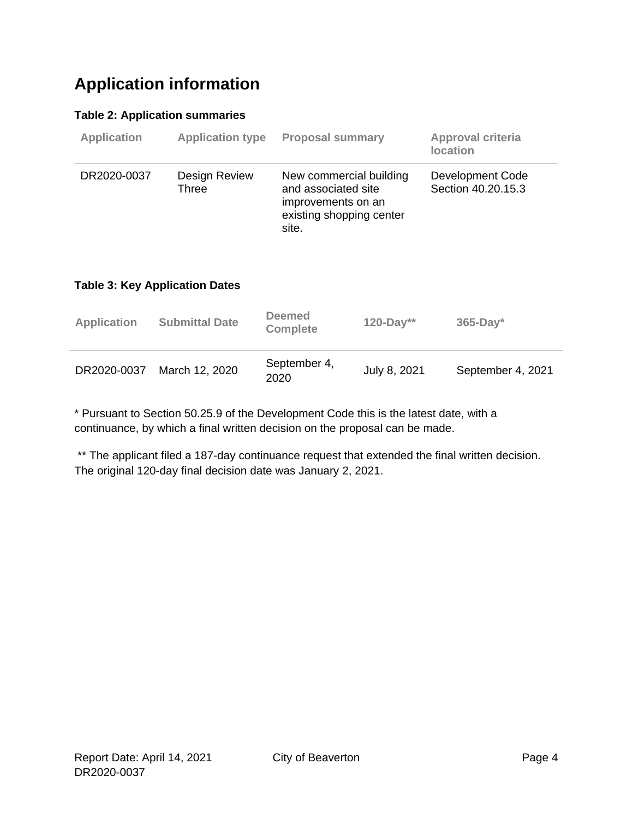# **Application information**

#### **Table 2: Application summaries**

| <b>Application</b> | <b>Application type</b> | <b>Proposal summary</b>                                                                                   | <b>Approval criteria</b><br><b>location</b> |
|--------------------|-------------------------|-----------------------------------------------------------------------------------------------------------|---------------------------------------------|
| DR2020-0037        | Design Review<br>Three  | New commercial building<br>and associated site<br>improvements on an<br>existing shopping center<br>site. | Development Code<br>Section 40.20.15.3      |

#### **Table 3: Key Application Dates**

| <b>Application</b> | <b>Submittal Date</b> | <b>Deemed</b><br><b>Complete</b> | $120 - Day**$ | $365$ -Day*       |
|--------------------|-----------------------|----------------------------------|---------------|-------------------|
| DR2020-0037        | March 12, 2020        | September 4,<br>2020             | July 8, 2021  | September 4, 2021 |

\* Pursuant to Section 50.25.9 of the Development Code this is the latest date, with a continuance, by which a final written decision on the proposal can be made.

\*\* The applicant filed a 187-day continuance request that extended the final written decision. The original 120-day final decision date was January 2, 2021.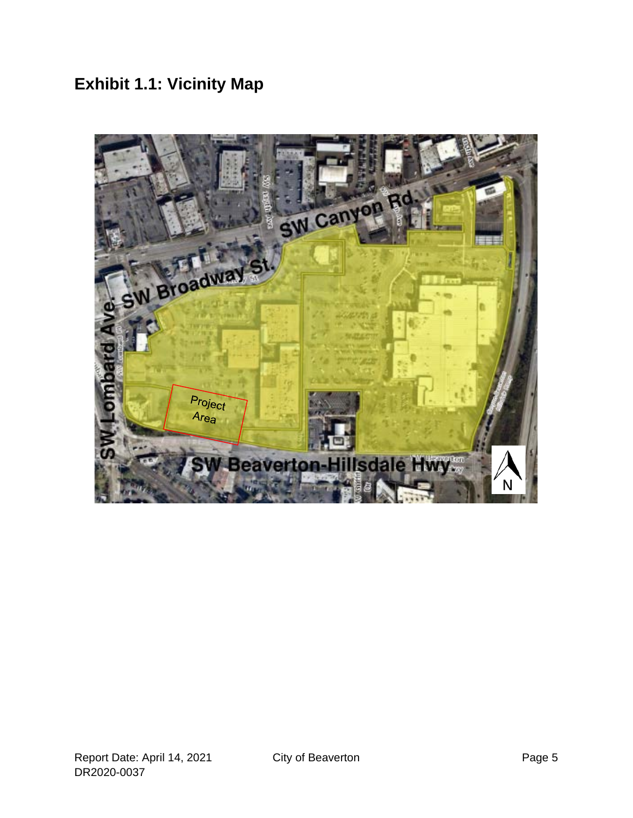**Exhibit 1.1: Vicinity Map** 

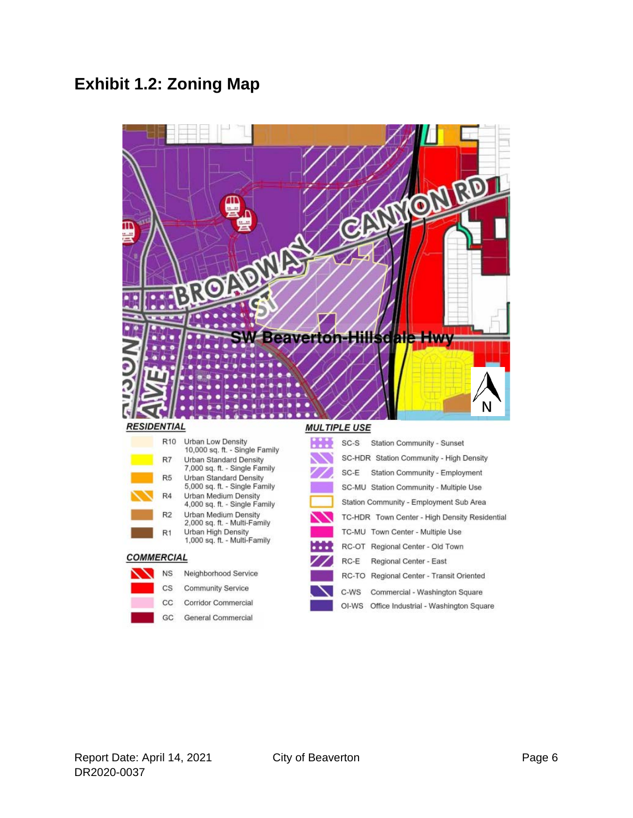### **Exhibit 1.2: Zoning Map**



#### R<sub>10</sub> Urban Low Density  $SC-S$ Station Community - Sunset 10,000 sq. ft. - Single Family SC-HDR Station Community - High Density R7 Urban Standard Density 7,000 sq. ft. - Single Family SC-E Station Community - Employment Urban Standard Density R<sub>5</sub> 5,000 sq. ft. - Single Family SC-MU Station Community - Multiple Use  $R4$ Urban Medium Density Station Community - Employment Sub Area 4,000 sq. ft. - Single Family Urban Medium Density<br>2,000 sq. ft. - Multi-Family  $R2$ TC-HDR Town Center - High Density Residential Urban High Density TC-MU Town Center - Multiple Use R<sub>1</sub> 1,000 sq. ft. - Multi-Family RC-OT Regional Center - Old Town **COMMERCIAL** RC-E Regional Center - East  $NS$ Neighborhood Service RC-TO Regional Center - Transit Oriented  $_{\rm CS}$ **Community Service** C-WS Commercial - Washington Square  $cc$ Corridor Commercial OI-WS Office Industrial - Washington Square

GC

General Commercial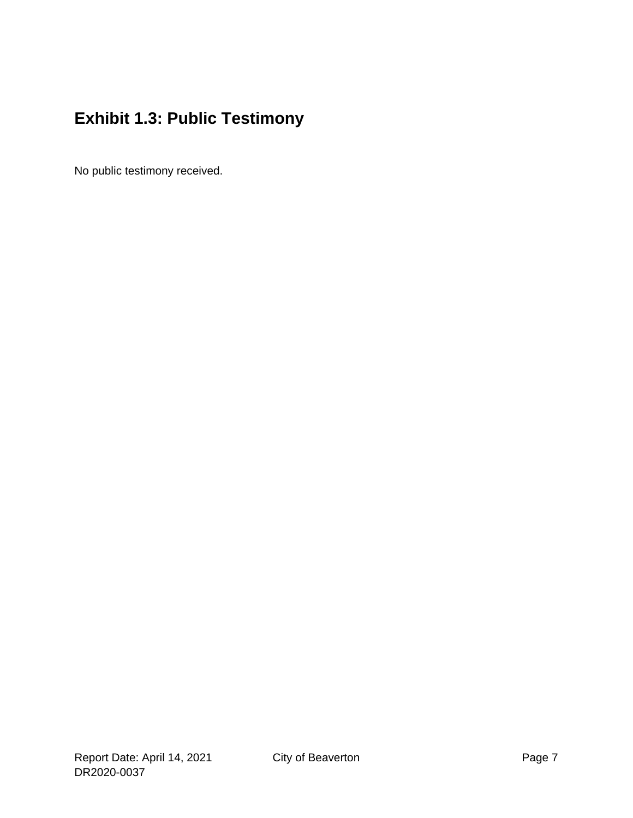# **Exhibit 1.3: Public Testimony**

No public testimony received.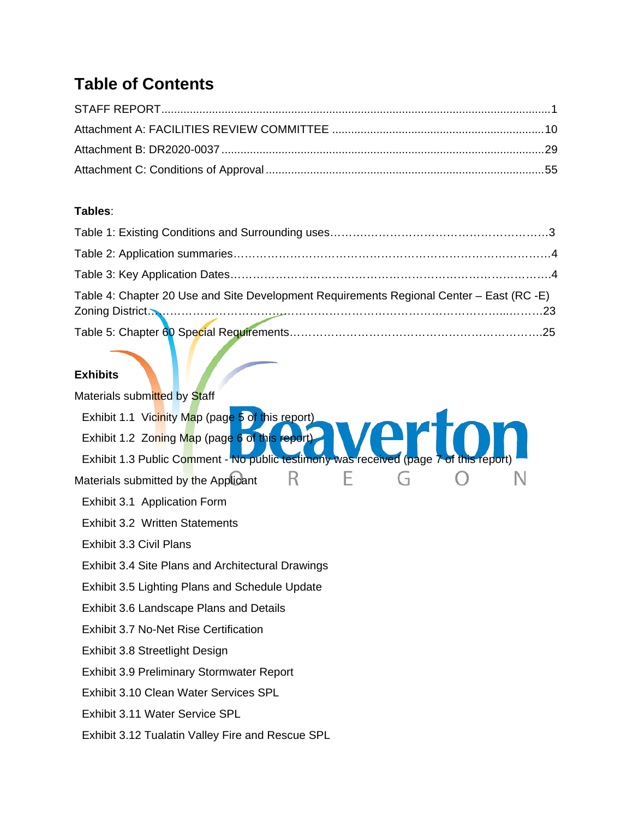# **Table of Contents**

#### **Tables**:

| Table 4: Chapter 20 Use and Site Development Requirements Regional Center - East (RC -E) |  |
|------------------------------------------------------------------------------------------|--|
|                                                                                          |  |
| <b>Exhibits</b>                                                                          |  |

| Materials submitted by Staff                                                          |
|---------------------------------------------------------------------------------------|
| Exhibit 1.1 Vicinity Map (page 5 of this report)                                      |
| Exhibit 1.2 Zoning Map (page 6 of this report)                                        |
| Exhibit 1.3 Public Comment - No public testimony was received (page 7 of this report) |
| Materials submitted by the Applicant                                                  |
| Exhibit 3.1 Application Form                                                          |
| <b>Exhibit 3.2 Written Statements</b>                                                 |
| Exhibit 3.3 Civil Plans                                                               |
| Exhibit 3.4 Site Plans and Architectural Drawings                                     |
| <b>Exhibit 3.5 Lighting Plans and Schedule Update</b>                                 |
| Exhibit 3.6 Landscape Plans and Details                                               |
| Exhibit 3.7 No-Net Rise Certification                                                 |
| Exhibit 3.8 Streetlight Design                                                        |
| <b>Exhibit 3.9 Preliminary Stormwater Report</b>                                      |
| Exhibit 3.10 Clean Water Services SPL                                                 |
| Exhibit 3.11 Water Service SPL                                                        |
| Exhibit 3.12 Tualatin Valley Fire and Rescue SPL                                      |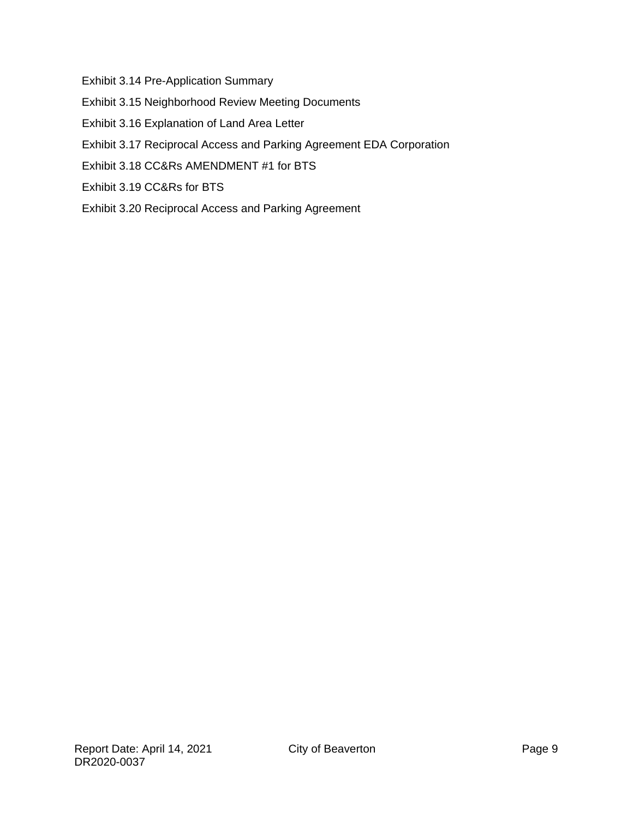Exhibit 3.14 Pre-Application Summary

- Exhibit 3.15 Neighborhood Review Meeting Documents
- Exhibit 3.16 Explanation of Land Area Letter
- Exhibit 3.17 Reciprocal Access and Parking Agreement EDA Corporation
- Exhibit 3.18 CC&Rs AMENDMENT #1 for BTS
- Exhibit 3.19 CC&Rs for BTS
- Exhibit 3.20 Reciprocal Access and Parking Agreement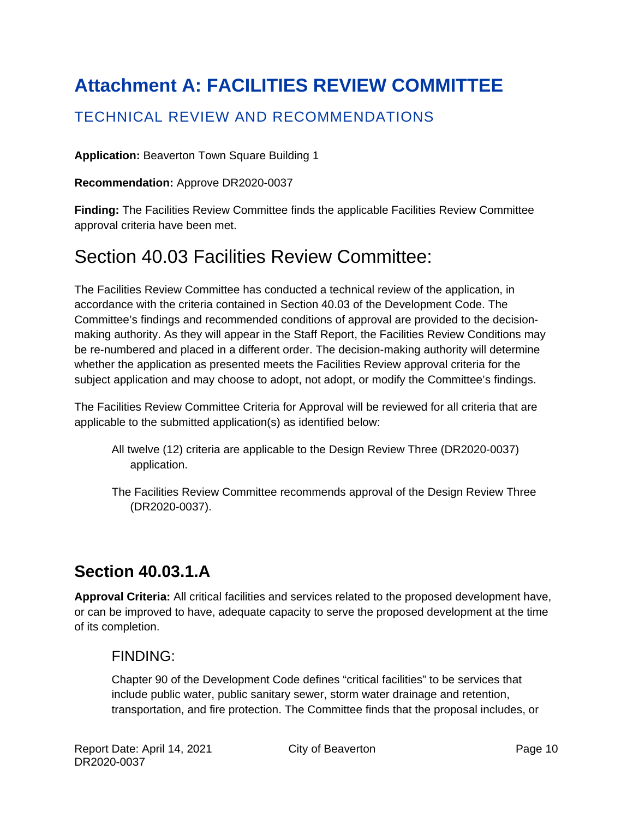# <span id="page-9-0"></span>**Attachment A: FACILITIES REVIEW COMMITTEE**

### TECHNICAL REVIEW AND RECOMMENDATIONS

#### **Application:** Beaverton Town Square Building 1

**Recommendation:** Approve DR2020-0037

**Finding:** The Facilities Review Committee finds the applicable Facilities Review Committee approval criteria have been met.

# Section 40.03 Facilities Review Committee:

The Facilities Review Committee has conducted a technical review of the application, in accordance with the criteria contained in Section 40.03 of the Development Code. The Committee's findings and recommended conditions of approval are provided to the decisionmaking authority. As they will appear in the Staff Report, the Facilities Review Conditions may be re-numbered and placed in a different order. The decision-making authority will determine whether the application as presented meets the Facilities Review approval criteria for the subject application and may choose to adopt, not adopt, or modify the Committee's findings.

The Facilities Review Committee Criteria for Approval will be reviewed for all criteria that are applicable to the submitted application(s) as identified below:

- All twelve (12) criteria are applicable to the Design Review Three (DR2020-0037) application.
- The Facilities Review Committee recommends approval of the Design Review Three (DR2020-0037).

# **Section 40.03.1.A**

**Approval Criteria:** All critical facilities and services related to the proposed development have, or can be improved to have, adequate capacity to serve the proposed development at the time of its completion.

### FINDING:

Chapter 90 of the Development Code defines "critical facilities" to be services that include public water, public sanitary sewer, storm water drainage and retention, transportation, and fire protection. The Committee finds that the proposal includes, or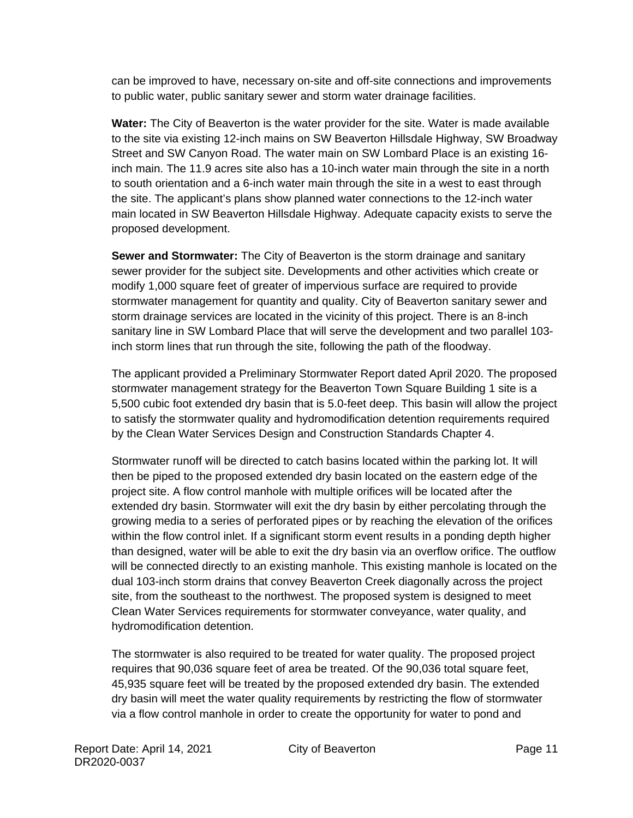can be improved to have, necessary on-site and off-site connections and improvements to public water, public sanitary sewer and storm water drainage facilities.

**Water:** The City of Beaverton is the water provider for the site. Water is made available to the site via existing 12-inch mains on SW Beaverton Hillsdale Highway, SW Broadway Street and SW Canyon Road. The water main on SW Lombard Place is an existing 16 inch main. The 11.9 acres site also has a 10-inch water main through the site in a north to south orientation and a 6-inch water main through the site in a west to east through the site. The applicant's plans show planned water connections to the 12-inch water main located in SW Beaverton Hillsdale Highway. Adequate capacity exists to serve the proposed development.

**Sewer and Stormwater:** The City of Beaverton is the storm drainage and sanitary sewer provider for the subject site. Developments and other activities which create or modify 1,000 square feet of greater of impervious surface are required to provide stormwater management for quantity and quality. City of Beaverton sanitary sewer and storm drainage services are located in the vicinity of this project. There is an 8-inch sanitary line in SW Lombard Place that will serve the development and two parallel 103 inch storm lines that run through the site, following the path of the floodway.

The applicant provided a Preliminary Stormwater Report dated April 2020. The proposed stormwater management strategy for the Beaverton Town Square Building 1 site is a 5,500 cubic foot extended dry basin that is 5.0-feet deep. This basin will allow the project to satisfy the stormwater quality and hydromodification detention requirements required by the Clean Water Services Design and Construction Standards Chapter 4.

Stormwater runoff will be directed to catch basins located within the parking lot. It will then be piped to the proposed extended dry basin located on the eastern edge of the project site. A flow control manhole with multiple orifices will be located after the extended dry basin. Stormwater will exit the dry basin by either percolating through the growing media to a series of perforated pipes or by reaching the elevation of the orifices within the flow control inlet. If a significant storm event results in a ponding depth higher than designed, water will be able to exit the dry basin via an overflow orifice. The outflow will be connected directly to an existing manhole. This existing manhole is located on the dual 103-inch storm drains that convey Beaverton Creek diagonally across the project site, from the southeast to the northwest. The proposed system is designed to meet Clean Water Services requirements for stormwater conveyance, water quality, and hydromodification detention.

The stormwater is also required to be treated for water quality. The proposed project requires that 90,036 square feet of area be treated. Of the 90,036 total square feet, 45,935 square feet will be treated by the proposed extended dry basin. The extended dry basin will meet the water quality requirements by restricting the flow of stormwater via a flow control manhole in order to create the opportunity for water to pond and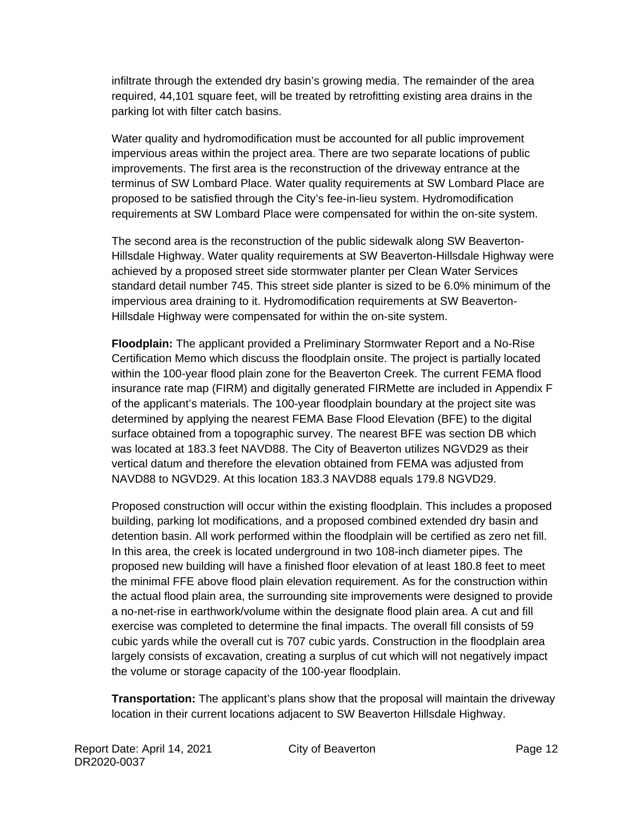infiltrate through the extended dry basin's growing media. The remainder of the area required, 44,101 square feet, will be treated by retrofitting existing area drains in the parking lot with filter catch basins.

Water quality and hydromodification must be accounted for all public improvement impervious areas within the project area. There are two separate locations of public improvements. The first area is the reconstruction of the driveway entrance at the terminus of SW Lombard Place. Water quality requirements at SW Lombard Place are proposed to be satisfied through the City's fee-in-lieu system. Hydromodification requirements at SW Lombard Place were compensated for within the on-site system.

The second area is the reconstruction of the public sidewalk along SW Beaverton-Hillsdale Highway. Water quality requirements at SW Beaverton-Hillsdale Highway were achieved by a proposed street side stormwater planter per Clean Water Services standard detail number 745. This street side planter is sized to be 6.0% minimum of the impervious area draining to it. Hydromodification requirements at SW Beaverton-Hillsdale Highway were compensated for within the on-site system.

**Floodplain:** The applicant provided a Preliminary Stormwater Report and a No-Rise Certification Memo which discuss the floodplain onsite. The project is partially located within the 100-year flood plain zone for the Beaverton Creek. The current FEMA flood insurance rate map (FIRM) and digitally generated FIRMette are included in Appendix F of the applicant's materials. The 100-year floodplain boundary at the project site was determined by applying the nearest FEMA Base Flood Elevation (BFE) to the digital surface obtained from a topographic survey. The nearest BFE was section DB which was located at 183.3 feet NAVD88. The City of Beaverton utilizes NGVD29 as their vertical datum and therefore the elevation obtained from FEMA was adjusted from NAVD88 to NGVD29. At this location 183.3 NAVD88 equals 179.8 NGVD29.

Proposed construction will occur within the existing floodplain. This includes a proposed building, parking lot modifications, and a proposed combined extended dry basin and detention basin. All work performed within the floodplain will be certified as zero net fill. In this area, the creek is located underground in two 108-inch diameter pipes. The proposed new building will have a finished floor elevation of at least 180.8 feet to meet the minimal FFE above flood plain elevation requirement. As for the construction within the actual flood plain area, the surrounding site improvements were designed to provide a no-net-rise in earthwork/volume within the designate flood plain area. A cut and fill exercise was completed to determine the final impacts. The overall fill consists of 59 cubic yards while the overall cut is 707 cubic yards. Construction in the floodplain area largely consists of excavation, creating a surplus of cut which will not negatively impact the volume or storage capacity of the 100-year floodplain.

**Transportation:** The applicant's plans show that the proposal will maintain the driveway location in their current locations adjacent to SW Beaverton Hillsdale Highway.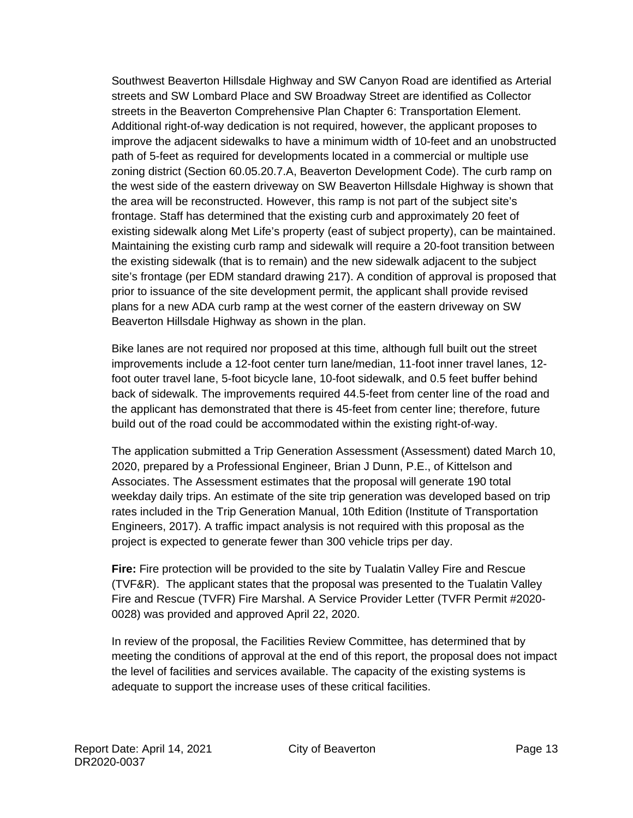Southwest Beaverton Hillsdale Highway and SW Canyon Road are identified as Arterial streets and SW Lombard Place and SW Broadway Street are identified as Collector streets in the Beaverton Comprehensive Plan Chapter 6: Transportation Element. Additional right-of-way dedication is not required, however, the applicant proposes to improve the adjacent sidewalks to have a minimum width of 10-feet and an unobstructed path of 5-feet as required for developments located in a commercial or multiple use zoning district (Section 60.05.20.7.A, Beaverton Development Code). The curb ramp on the west side of the eastern driveway on SW Beaverton Hillsdale Highway is shown that the area will be reconstructed. However, this ramp is not part of the subject site's frontage. Staff has determined that the existing curb and approximately 20 feet of existing sidewalk along Met Life's property (east of subject property), can be maintained. Maintaining the existing curb ramp and sidewalk will require a 20-foot transition between the existing sidewalk (that is to remain) and the new sidewalk adjacent to the subject site's frontage (per EDM standard drawing 217). A condition of approval is proposed that prior to issuance of the site development permit, the applicant shall provide revised plans for a new ADA curb ramp at the west corner of the eastern driveway on SW Beaverton Hillsdale Highway as shown in the plan.

Bike lanes are not required nor proposed at this time, although full built out the street improvements include a 12-foot center turn lane/median, 11-foot inner travel lanes, 12 foot outer travel lane, 5-foot bicycle lane, 10-foot sidewalk, and 0.5 feet buffer behind back of sidewalk. The improvements required 44.5-feet from center line of the road and the applicant has demonstrated that there is 45-feet from center line; therefore, future build out of the road could be accommodated within the existing right-of-way.

The application submitted a Trip Generation Assessment (Assessment) dated March 10, 2020, prepared by a Professional Engineer, Brian J Dunn, P.E., of Kittelson and Associates. The Assessment estimates that the proposal will generate 190 total weekday daily trips. An estimate of the site trip generation was developed based on trip rates included in the Trip Generation Manual, 10th Edition (Institute of Transportation Engineers, 2017). A traffic impact analysis is not required with this proposal as the project is expected to generate fewer than 300 vehicle trips per day.

**Fire:** Fire protection will be provided to the site by Tualatin Valley Fire and Rescue (TVF&R). The applicant states that the proposal was presented to the Tualatin Valley Fire and Rescue (TVFR) Fire Marshal. A Service Provider Letter (TVFR Permit #2020- 0028) was provided and approved April 22, 2020.

In review of the proposal, the Facilities Review Committee, has determined that by meeting the conditions of approval at the end of this report, the proposal does not impact the level of facilities and services available. The capacity of the existing systems is adequate to support the increase uses of these critical facilities.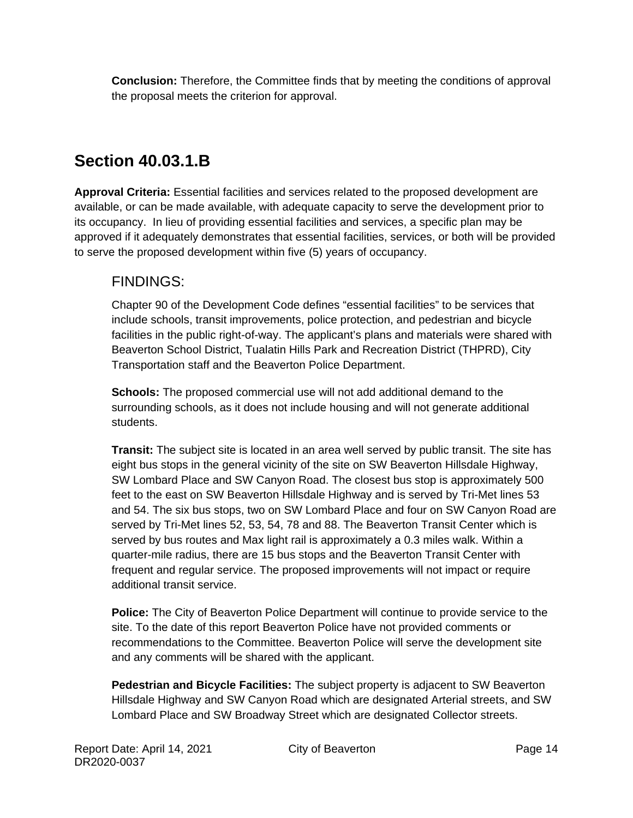**Conclusion:** Therefore, the Committee finds that by meeting the conditions of approval the proposal meets the criterion for approval.

# **Section 40.03.1.B**

**Approval Criteria:** Essential facilities and services related to the proposed development are available, or can be made available, with adequate capacity to serve the development prior to its occupancy. In lieu of providing essential facilities and services, a specific plan may be approved if it adequately demonstrates that essential facilities, services, or both will be provided to serve the proposed development within five (5) years of occupancy.

### FINDINGS:

Chapter 90 of the Development Code defines "essential facilities" to be services that include schools, transit improvements, police protection, and pedestrian and bicycle facilities in the public right-of-way. The applicant's plans and materials were shared with Beaverton School District, Tualatin Hills Park and Recreation District (THPRD), City Transportation staff and the Beaverton Police Department.

**Schools:** The proposed commercial use will not add additional demand to the surrounding schools, as it does not include housing and will not generate additional students.

**Transit:** The subject site is located in an area well served by public transit. The site has eight bus stops in the general vicinity of the site on SW Beaverton Hillsdale Highway, SW Lombard Place and SW Canyon Road. The closest bus stop is approximately 500 feet to the east on SW Beaverton Hillsdale Highway and is served by Tri-Met lines 53 and 54. The six bus stops, two on SW Lombard Place and four on SW Canyon Road are served by Tri-Met lines 52, 53, 54, 78 and 88. The Beaverton Transit Center which is served by bus routes and Max light rail is approximately a 0.3 miles walk. Within a quarter-mile radius, there are 15 bus stops and the Beaverton Transit Center with frequent and regular service. The proposed improvements will not impact or require additional transit service.

**Police:** The City of Beaverton Police Department will continue to provide service to the site. To the date of this report Beaverton Police have not provided comments or recommendations to the Committee. Beaverton Police will serve the development site and any comments will be shared with the applicant.

**Pedestrian and Bicycle Facilities:** The subject property is adjacent to SW Beaverton Hillsdale Highway and SW Canyon Road which are designated Arterial streets, and SW Lombard Place and SW Broadway Street which are designated Collector streets.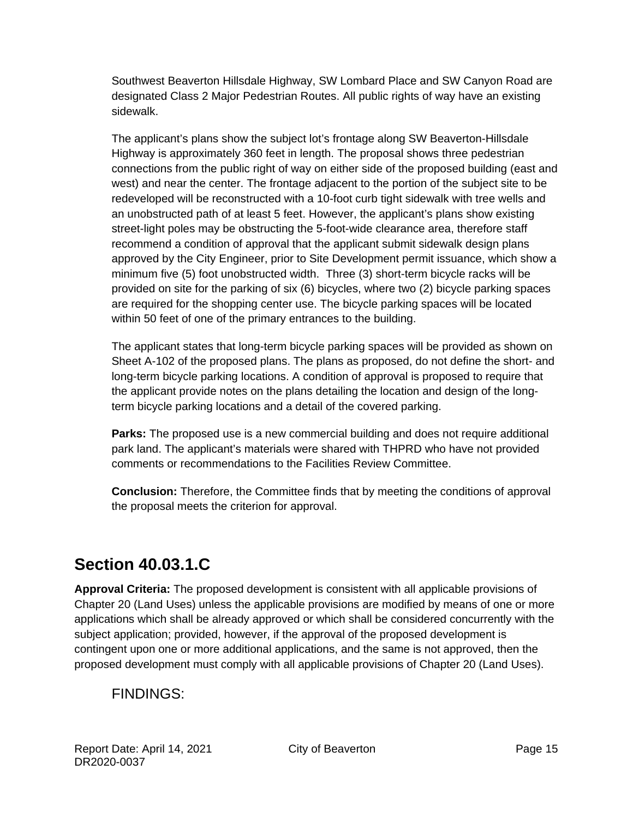Southwest Beaverton Hillsdale Highway, SW Lombard Place and SW Canyon Road are designated Class 2 Major Pedestrian Routes. All public rights of way have an existing sidewalk.

The applicant's plans show the subject lot's frontage along SW Beaverton-Hillsdale Highway is approximately 360 feet in length. The proposal shows three pedestrian connections from the public right of way on either side of the proposed building (east and west) and near the center. The frontage adjacent to the portion of the subject site to be redeveloped will be reconstructed with a 10-foot curb tight sidewalk with tree wells and an unobstructed path of at least 5 feet. However, the applicant's plans show existing street-light poles may be obstructing the 5-foot-wide clearance area, therefore staff recommend a condition of approval that the applicant submit sidewalk design plans approved by the City Engineer, prior to Site Development permit issuance, which show a minimum five (5) foot unobstructed width. Three (3) short-term bicycle racks will be provided on site for the parking of six (6) bicycles, where two (2) bicycle parking spaces are required for the shopping center use. The bicycle parking spaces will be located within 50 feet of one of the primary entrances to the building.

The applicant states that long-term bicycle parking spaces will be provided as shown on Sheet A-102 of the proposed plans. The plans as proposed, do not define the short- and long-term bicycle parking locations. A condition of approval is proposed to require that the applicant provide notes on the plans detailing the location and design of the longterm bicycle parking locations and a detail of the covered parking.

**Parks:** The proposed use is a new commercial building and does not require additional park land. The applicant's materials were shared with THPRD who have not provided comments or recommendations to the Facilities Review Committee.

**Conclusion:** Therefore, the Committee finds that by meeting the conditions of approval the proposal meets the criterion for approval.

# **Section 40.03.1.C**

**Approval Criteria:** The proposed development is consistent with all applicable provisions of Chapter 20 (Land Uses) unless the applicable provisions are modified by means of one or more applications which shall be already approved or which shall be considered concurrently with the subject application; provided, however, if the approval of the proposed development is contingent upon one or more additional applications, and the same is not approved, then the proposed development must comply with all applicable provisions of Chapter 20 (Land Uses).

### FINDINGS: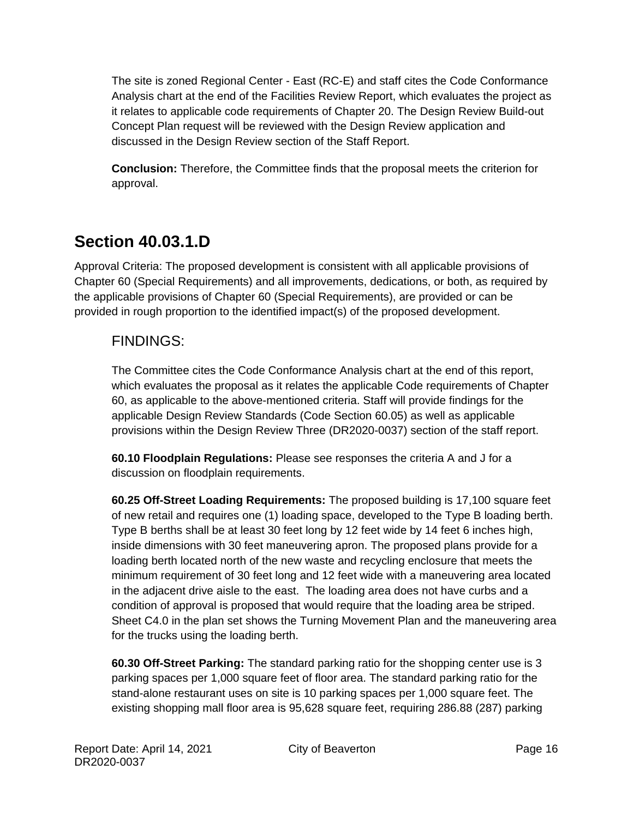The site is zoned Regional Center - East (RC-E) and staff cites the Code Conformance Analysis chart at the end of the Facilities Review Report, which evaluates the project as it relates to applicable code requirements of Chapter 20. The Design Review Build-out Concept Plan request will be reviewed with the Design Review application and discussed in the Design Review section of the Staff Report.

**Conclusion:** Therefore, the Committee finds that the proposal meets the criterion for approval.

# **Section 40.03.1.D**

Approval Criteria: The proposed development is consistent with all applicable provisions of Chapter 60 (Special Requirements) and all improvements, dedications, or both, as required by the applicable provisions of Chapter 60 (Special Requirements), are provided or can be provided in rough proportion to the identified impact(s) of the proposed development.

### FINDINGS:

The Committee cites the Code Conformance Analysis chart at the end of this report, which evaluates the proposal as it relates the applicable Code requirements of Chapter 60, as applicable to the above-mentioned criteria. Staff will provide findings for the applicable Design Review Standards (Code Section 60.05) as well as applicable provisions within the Design Review Three (DR2020-0037) section of the staff report.

**60.10 Floodplain Regulations:** Please see responses the criteria A and J for a discussion on floodplain requirements.

**60.25 Off-Street Loading Requirements:** The proposed building is 17,100 square feet of new retail and requires one (1) loading space, developed to the Type B loading berth. Type B berths shall be at least 30 feet long by 12 feet wide by 14 feet 6 inches high, inside dimensions with 30 feet maneuvering apron. The proposed plans provide for a loading berth located north of the new waste and recycling enclosure that meets the minimum requirement of 30 feet long and 12 feet wide with a maneuvering area located in the adjacent drive aisle to the east. The loading area does not have curbs and a condition of approval is proposed that would require that the loading area be striped. Sheet C4.0 in the plan set shows the Turning Movement Plan and the maneuvering area for the trucks using the loading berth.

**60.30 Off-Street Parking:** The standard parking ratio for the shopping center use is 3 parking spaces per 1,000 square feet of floor area. The standard parking ratio for the stand-alone restaurant uses on site is 10 parking spaces per 1,000 square feet. The existing shopping mall floor area is 95,628 square feet, requiring 286.88 (287) parking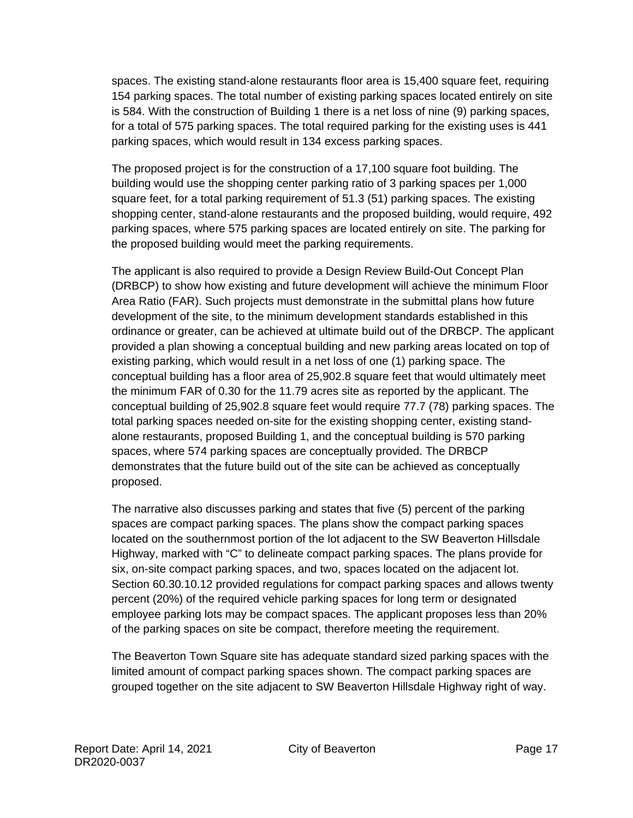spaces. The existing stand-alone restaurants floor area is 15,400 square feet, requiring 154 parking spaces. The total number of existing parking spaces located entirely on site is 584. With the construction of Building 1 there is a net loss of nine (9) parking spaces, for a total of 575 parking spaces. The total required parking for the existing uses is 441 parking spaces, which would result in 134 excess parking spaces.

The proposed project is for the construction of a 17,100 square foot building. The building would use the shopping center parking ratio of 3 parking spaces per 1,000 square feet, for a total parking requirement of 51.3 (51) parking spaces. The existing shopping center, stand-alone restaurants and the proposed building, would require, 492 parking spaces, where 575 parking spaces are located entirely on site. The parking for the proposed building would meet the parking requirements.

The applicant is also required to provide a Design Review Build-Out Concept Plan (DRBCP) to show how existing and future development will achieve the minimum Floor Area Ratio (FAR). Such projects must demonstrate in the submittal plans how future development of the site, to the minimum development standards established in this ordinance or greater, can be achieved at ultimate build out of the DRBCP. The applicant provided a plan showing a conceptual building and new parking areas located on top of existing parking, which would result in a net loss of one (1) parking space. The conceptual building has a floor area of 25,902.8 square feet that would ultimately meet the minimum FAR of 0.30 for the 11.79 acres site as reported by the applicant. The conceptual building of 25,902.8 square feet would require 77.7 (78) parking spaces. The total parking spaces needed on-site for the existing shopping center, existing standalone restaurants, proposed Building 1, and the conceptual building is 570 parking spaces, where 574 parking spaces are conceptually provided. The DRBCP demonstrates that the future build out of the site can be achieved as conceptually proposed.

The narrative also discusses parking and states that five (5) percent of the parking spaces are compact parking spaces. The plans show the compact parking spaces located on the southernmost portion of the lot adjacent to the SW Beaverton Hillsdale Highway, marked with "C" to delineate compact parking spaces. The plans provide for six, on-site compact parking spaces, and two, spaces located on the adjacent lot. Section 60.30.10.12 provided regulations for compact parking spaces and allows twenty percent (20%) of the required vehicle parking spaces for long term or designated employee parking lots may be compact spaces. The applicant proposes less than 20% of the parking spaces on site be compact, therefore meeting the requirement.

The Beaverton Town Square site has adequate standard sized parking spaces with the limited amount of compact parking spaces shown. The compact parking spaces are grouped together on the site adjacent to SW Beaverton Hillsdale Highway right of way.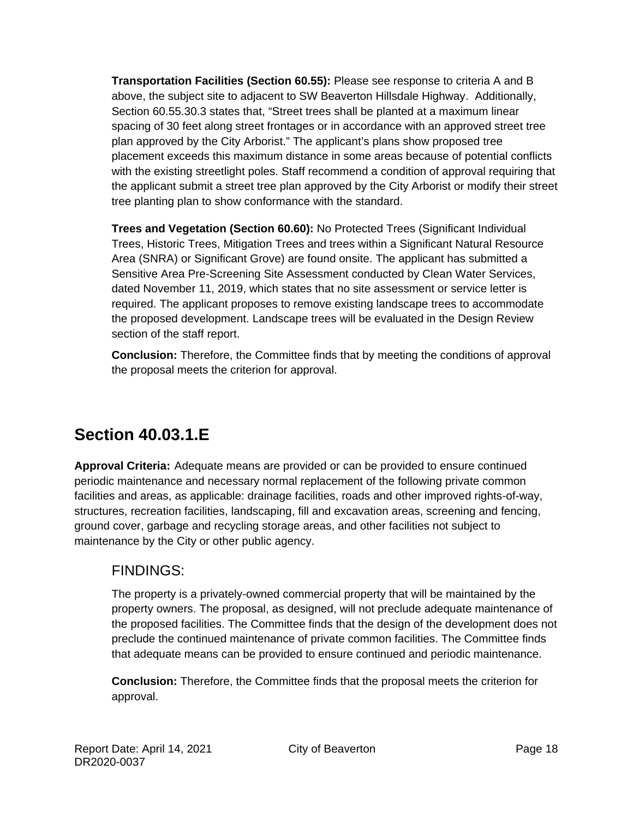**Transportation Facilities (Section 60.55):** Please see response to criteria A and B above, the subject site to adjacent to SW Beaverton Hillsdale Highway. Additionally, Section 60.55.30.3 states that, "Street trees shall be planted at a maximum linear spacing of 30 feet along street frontages or in accordance with an approved street tree plan approved by the City Arborist." The applicant's plans show proposed tree placement exceeds this maximum distance in some areas because of potential conflicts with the existing streetlight poles. Staff recommend a condition of approval requiring that the applicant submit a street tree plan approved by the City Arborist or modify their street tree planting plan to show conformance with the standard.

**Trees and Vegetation (Section 60.60):** No Protected Trees (Significant Individual Trees, Historic Trees, Mitigation Trees and trees within a Significant Natural Resource Area (SNRA) or Significant Grove) are found onsite. The applicant has submitted a Sensitive Area Pre-Screening Site Assessment conducted by Clean Water Services, dated November 11, 2019, which states that no site assessment or service letter is required. The applicant proposes to remove existing landscape trees to accommodate the proposed development. Landscape trees will be evaluated in the Design Review section of the staff report.

**Conclusion:** Therefore, the Committee finds that by meeting the conditions of approval the proposal meets the criterion for approval.

# **Section 40.03.1.E**

**Approval Criteria:** Adequate means are provided or can be provided to ensure continued periodic maintenance and necessary normal replacement of the following private common facilities and areas, as applicable: drainage facilities, roads and other improved rights-of-way, structures, recreation facilities, landscaping, fill and excavation areas, screening and fencing, ground cover, garbage and recycling storage areas, and other facilities not subject to maintenance by the City or other public agency.

### FINDINGS:

The property is a privately-owned commercial property that will be maintained by the property owners. The proposal, as designed, will not preclude adequate maintenance of the proposed facilities. The Committee finds that the design of the development does not preclude the continued maintenance of private common facilities. The Committee finds that adequate means can be provided to ensure continued and periodic maintenance.

**Conclusion:** Therefore, the Committee finds that the proposal meets the criterion for approval.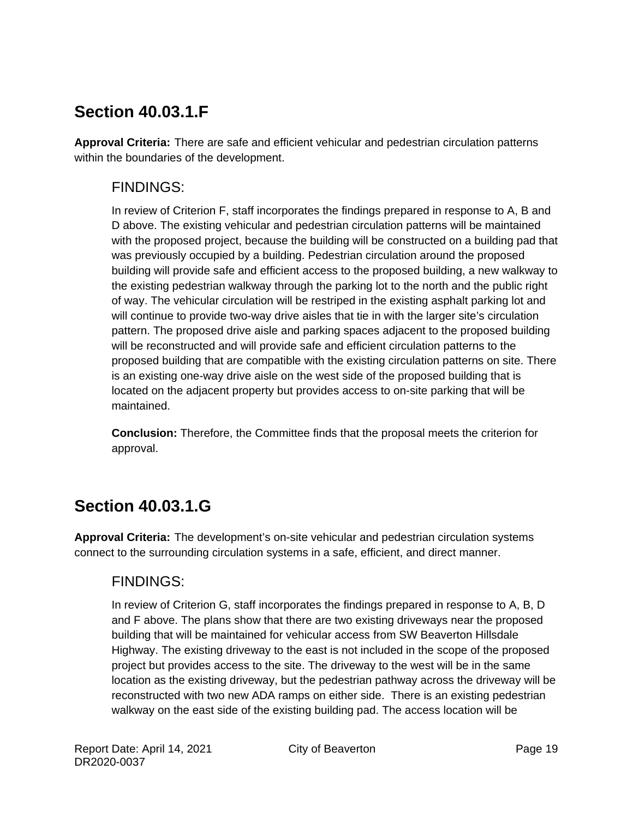# **Section 40.03.1.F**

**Approval Criteria:** There are safe and efficient vehicular and pedestrian circulation patterns within the boundaries of the development.

### FINDINGS:

In review of Criterion F, staff incorporates the findings prepared in response to A, B and D above. The existing vehicular and pedestrian circulation patterns will be maintained with the proposed project, because the building will be constructed on a building pad that was previously occupied by a building. Pedestrian circulation around the proposed building will provide safe and efficient access to the proposed building, a new walkway to the existing pedestrian walkway through the parking lot to the north and the public right of way. The vehicular circulation will be restriped in the existing asphalt parking lot and will continue to provide two-way drive aisles that tie in with the larger site's circulation pattern. The proposed drive aisle and parking spaces adjacent to the proposed building will be reconstructed and will provide safe and efficient circulation patterns to the proposed building that are compatible with the existing circulation patterns on site. There is an existing one-way drive aisle on the west side of the proposed building that is located on the adjacent property but provides access to on-site parking that will be maintained.

**Conclusion:** Therefore, the Committee finds that the proposal meets the criterion for approval.

# **Section 40.03.1.G**

**Approval Criteria:** The development's on-site vehicular and pedestrian circulation systems connect to the surrounding circulation systems in a safe, efficient, and direct manner.

### FINDINGS:

In review of Criterion G, staff incorporates the findings prepared in response to A, B, D and F above. The plans show that there are two existing driveways near the proposed building that will be maintained for vehicular access from SW Beaverton Hillsdale Highway. The existing driveway to the east is not included in the scope of the proposed project but provides access to the site. The driveway to the west will be in the same location as the existing driveway, but the pedestrian pathway across the driveway will be reconstructed with two new ADA ramps on either side. There is an existing pedestrian walkway on the east side of the existing building pad. The access location will be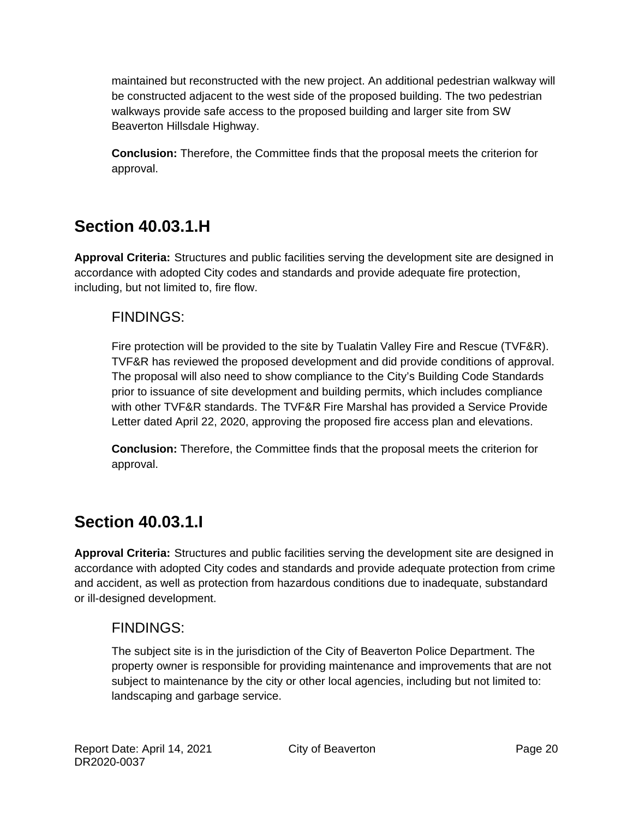maintained but reconstructed with the new project. An additional pedestrian walkway will be constructed adjacent to the west side of the proposed building. The two pedestrian walkways provide safe access to the proposed building and larger site from SW Beaverton Hillsdale Highway.

**Conclusion:** Therefore, the Committee finds that the proposal meets the criterion for approval.

# **Section 40.03.1.H**

**Approval Criteria:** Structures and public facilities serving the development site are designed in accordance with adopted City codes and standards and provide adequate fire protection, including, but not limited to, fire flow.

### FINDINGS:

Fire protection will be provided to the site by Tualatin Valley Fire and Rescue (TVF&R). TVF&R has reviewed the proposed development and did provide conditions of approval. The proposal will also need to show compliance to the City's Building Code Standards prior to issuance of site development and building permits, which includes compliance with other TVF&R standards. The TVF&R Fire Marshal has provided a Service Provide Letter dated April 22, 2020, approving the proposed fire access plan and elevations.

**Conclusion:** Therefore, the Committee finds that the proposal meets the criterion for approval.

### **Section 40.03.1.I**

**Approval Criteria:** Structures and public facilities serving the development site are designed in accordance with adopted City codes and standards and provide adequate protection from crime and accident, as well as protection from hazardous conditions due to inadequate, substandard or ill-designed development.

### FINDINGS:

The subject site is in the jurisdiction of the City of Beaverton Police Department. The property owner is responsible for providing maintenance and improvements that are not subject to maintenance by the city or other local agencies, including but not limited to: landscaping and garbage service.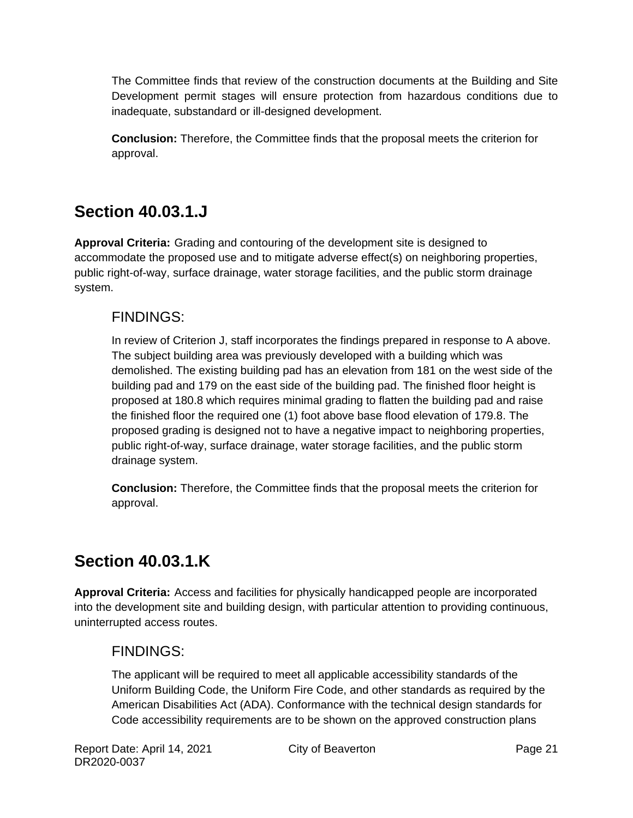The Committee finds that review of the construction documents at the Building and Site Development permit stages will ensure protection from hazardous conditions due to inadequate, substandard or ill-designed development.

**Conclusion:** Therefore, the Committee finds that the proposal meets the criterion for approval.

# **Section 40.03.1.J**

**Approval Criteria:** Grading and contouring of the development site is designed to accommodate the proposed use and to mitigate adverse effect(s) on neighboring properties, public right-of-way, surface drainage, water storage facilities, and the public storm drainage system.

### FINDINGS:

In review of Criterion J, staff incorporates the findings prepared in response to A above. The subject building area was previously developed with a building which was demolished. The existing building pad has an elevation from 181 on the west side of the building pad and 179 on the east side of the building pad. The finished floor height is proposed at 180.8 which requires minimal grading to flatten the building pad and raise the finished floor the required one (1) foot above base flood elevation of 179.8. The proposed grading is designed not to have a negative impact to neighboring properties, public right-of-way, surface drainage, water storage facilities, and the public storm drainage system.

**Conclusion:** Therefore, the Committee finds that the proposal meets the criterion for approval.

# **Section 40.03.1.K**

**Approval Criteria:** Access and facilities for physically handicapped people are incorporated into the development site and building design, with particular attention to providing continuous, uninterrupted access routes.

### FINDINGS:

The applicant will be required to meet all applicable accessibility standards of the Uniform Building Code, the Uniform Fire Code, and other standards as required by the American Disabilities Act (ADA). Conformance with the technical design standards for Code accessibility requirements are to be shown on the approved construction plans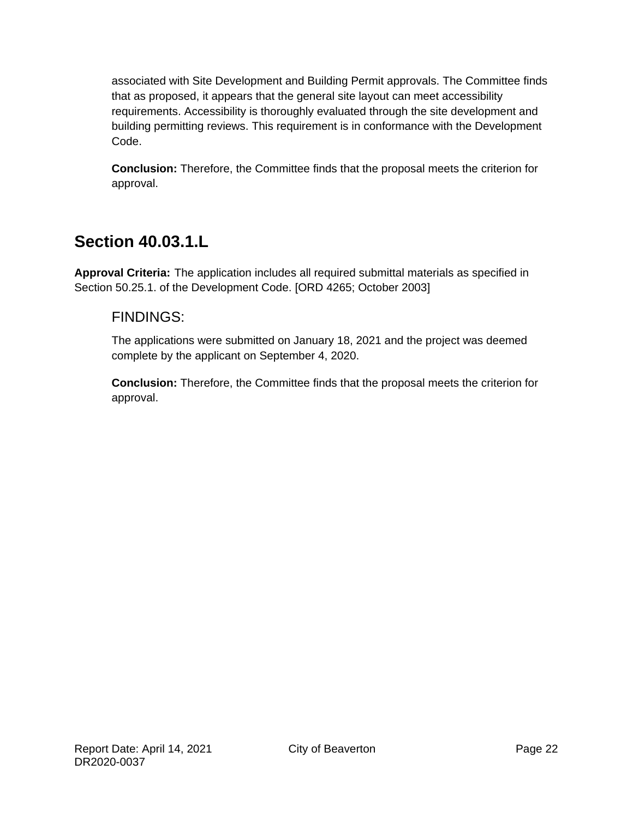associated with Site Development and Building Permit approvals. The Committee finds that as proposed, it appears that the general site layout can meet accessibility requirements. Accessibility is thoroughly evaluated through the site development and building permitting reviews. This requirement is in conformance with the Development Code.

**Conclusion:** Therefore, the Committee finds that the proposal meets the criterion for approval.

### **Section 40.03.1.L**

**Approval Criteria:** The application includes all required submittal materials as specified in Section 50.25.1. of the Development Code. [ORD 4265; October 2003]

#### FINDINGS:

The applications were submitted on January 18, 2021 and the project was deemed complete by the applicant on September 4, 2020.

**Conclusion:** Therefore, the Committee finds that the proposal meets the criterion for approval.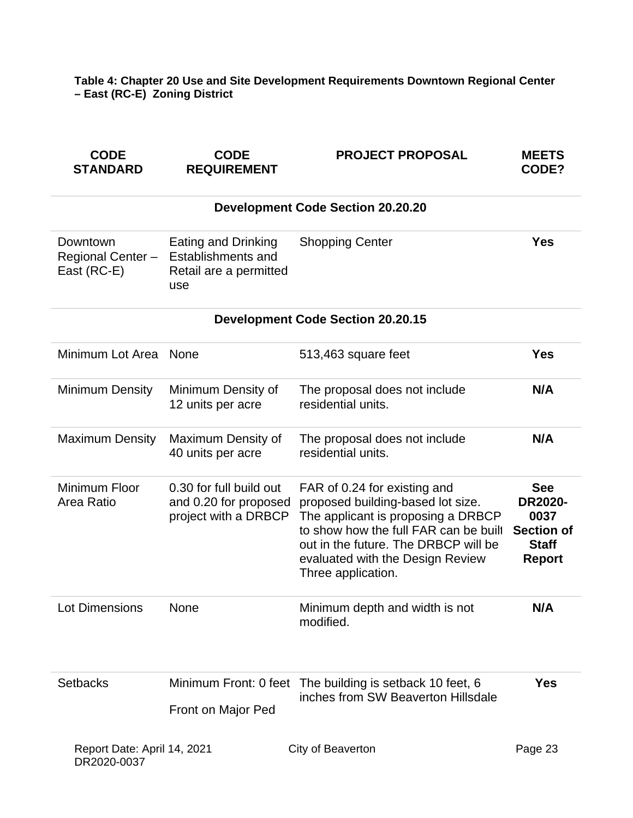**Table 4: Chapter 20 Use and Site Development Requirements Downtown Regional Center – East (RC-E) Zoning District**

| <b>CODE</b><br><b>STANDARD</b>               | <b>CODE</b><br><b>REQUIREMENT</b>                                          | <b>PROJECT PROPOSAL</b>                                                                                                                                                                                                                            | <b>MEETS</b><br>CODE?                                                                      |
|----------------------------------------------|----------------------------------------------------------------------------|----------------------------------------------------------------------------------------------------------------------------------------------------------------------------------------------------------------------------------------------------|--------------------------------------------------------------------------------------------|
|                                              |                                                                            | <b>Development Code Section 20.20.20</b>                                                                                                                                                                                                           |                                                                                            |
| Downtown<br>Regional Center -<br>East (RC-E) | Eating and Drinking<br>Establishments and<br>Retail are a permitted<br>use | <b>Shopping Center</b>                                                                                                                                                                                                                             | <b>Yes</b>                                                                                 |
|                                              |                                                                            | <b>Development Code Section 20.20.15</b>                                                                                                                                                                                                           |                                                                                            |
| Minimum Lot Area                             | None                                                                       | 513,463 square feet                                                                                                                                                                                                                                | <b>Yes</b>                                                                                 |
| <b>Minimum Density</b>                       | Minimum Density of<br>12 units per acre                                    | The proposal does not include<br>residential units.                                                                                                                                                                                                | N/A                                                                                        |
| <b>Maximum Density</b>                       | Maximum Density of<br>40 units per acre                                    | The proposal does not include<br>residential units.                                                                                                                                                                                                | N/A                                                                                        |
| Minimum Floor<br>Area Ratio                  | 0.30 for full build out<br>and 0.20 for proposed<br>project with a DRBCP   | FAR of 0.24 for existing and<br>proposed building-based lot size.<br>The applicant is proposing a DRBCP<br>to show how the full FAR can be built<br>out in the future. The DRBCP will be<br>evaluated with the Design Review<br>Three application. | <b>See</b><br><b>DR2020-</b><br>0037<br><b>Section of</b><br><b>Staff</b><br><b>Report</b> |
| Lot Dimensions                               | None                                                                       | Minimum depth and width is not<br>modified.                                                                                                                                                                                                        | N/A                                                                                        |
| <b>Setbacks</b>                              | Front on Major Ped                                                         | Minimum Front: 0 feet The building is setback 10 feet, 6<br>inches from SW Beaverton Hillsdale                                                                                                                                                     | <b>Yes</b>                                                                                 |
| Report Date: April 14, 2021                  |                                                                            | City of Beaverton                                                                                                                                                                                                                                  | Page 23                                                                                    |

DR2020-0037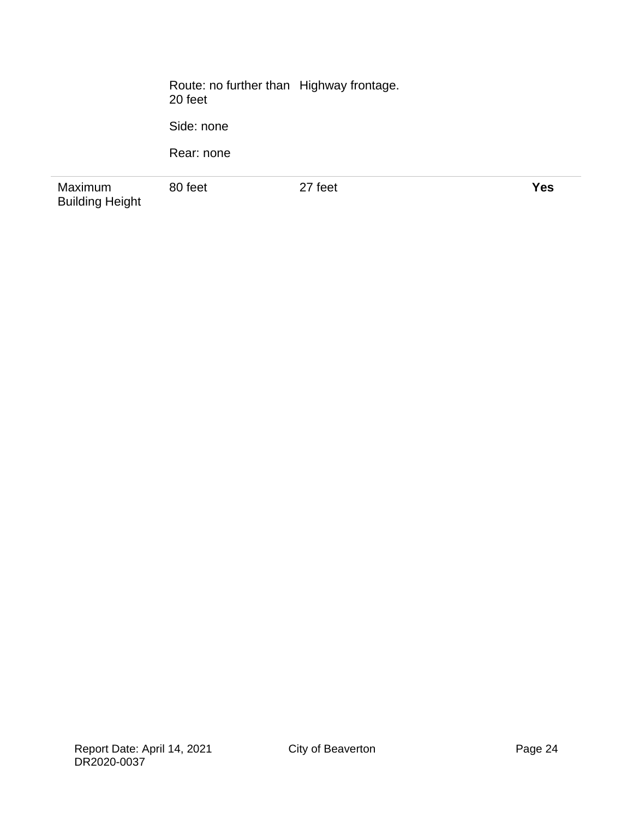Route: no further than 20 feet Highway frontage.

Side: none

Rear: none

Maximum Building Height

80 feet 27 feet **Yes**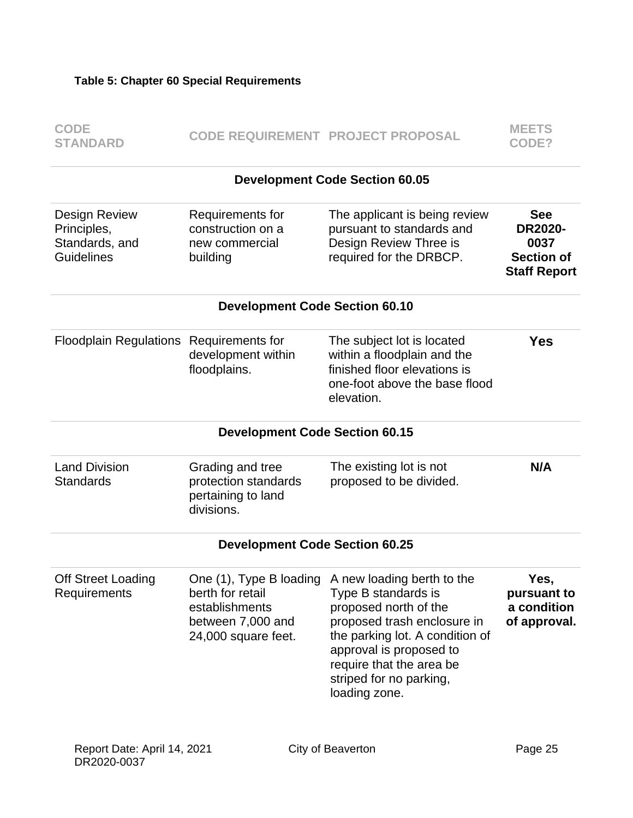| <b>CODE</b><br><b>STANDARD</b>                                      |                                                                                | <b>CODE REQUIREMENT PROJECT PROPOSAL</b>                                                                                                                                                                                                                                | <b>MEETS</b><br>CODE?                                                            |  |
|---------------------------------------------------------------------|--------------------------------------------------------------------------------|-------------------------------------------------------------------------------------------------------------------------------------------------------------------------------------------------------------------------------------------------------------------------|----------------------------------------------------------------------------------|--|
|                                                                     |                                                                                | <b>Development Code Section 60.05</b>                                                                                                                                                                                                                                   |                                                                                  |  |
| Design Review<br>Principles,<br>Standards, and<br><b>Guidelines</b> | Requirements for<br>construction on a<br>new commercial<br>building            | The applicant is being review<br>pursuant to standards and<br>Design Review Three is<br>required for the DRBCP.                                                                                                                                                         | <b>See</b><br><b>DR2020-</b><br>0037<br><b>Section of</b><br><b>Staff Report</b> |  |
|                                                                     | <b>Development Code Section 60.10</b>                                          |                                                                                                                                                                                                                                                                         |                                                                                  |  |
| Floodplain Regulations Requirements for                             | development within<br>floodplains.                                             | The subject lot is located<br>within a floodplain and the<br>finished floor elevations is<br>one-foot above the base flood<br>elevation.                                                                                                                                | <b>Yes</b>                                                                       |  |
|                                                                     | <b>Development Code Section 60.15</b>                                          |                                                                                                                                                                                                                                                                         |                                                                                  |  |
| <b>Land Division</b><br><b>Standards</b>                            | Grading and tree<br>protection standards<br>pertaining to land<br>divisions.   | The existing lot is not<br>proposed to be divided.                                                                                                                                                                                                                      | N/A                                                                              |  |
| <b>Development Code Section 60.25</b>                               |                                                                                |                                                                                                                                                                                                                                                                         |                                                                                  |  |
| <b>Off Street Loading</b><br>Requirements                           | berth for retail<br>establishments<br>between 7,000 and<br>24,000 square feet. | One (1), Type B loading A new loading berth to the<br>Type B standards is<br>proposed north of the<br>proposed trash enclosure in<br>the parking lot. A condition of<br>approval is proposed to<br>require that the area be<br>striped for no parking,<br>loading zone. | Yes,<br>pursuant to<br>a condition<br>of approval.                               |  |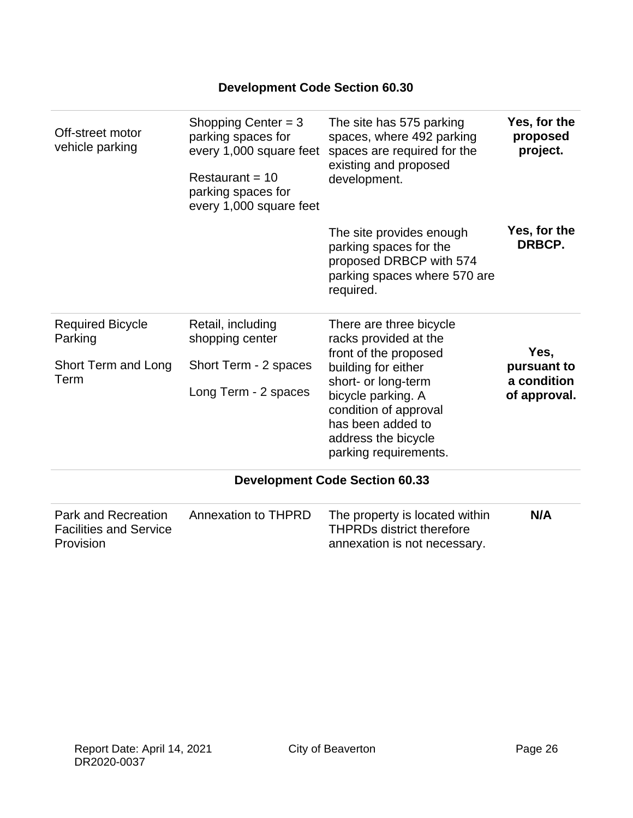| Off-street motor<br>vehicle parking                                      | Shopping Center = $3$<br>parking spaces for<br>every 1,000 square feet<br>Restaurant = $10$<br>parking spaces for<br>every 1,000 square feet | The site has 575 parking<br>spaces, where 492 parking<br>spaces are required for the<br>existing and proposed<br>development.                 | Yes, for the<br>proposed<br>project.               |
|--------------------------------------------------------------------------|----------------------------------------------------------------------------------------------------------------------------------------------|-----------------------------------------------------------------------------------------------------------------------------------------------|----------------------------------------------------|
|                                                                          |                                                                                                                                              | The site provides enough<br>parking spaces for the<br>proposed DRBCP with 574<br>parking spaces where 570 are<br>required.                    | Yes, for the<br>DRBCP.                             |
| <b>Required Bicycle</b><br>Parking<br>Short Term and Long<br>Term        | Retail, including<br>shopping center<br>Short Term - 2 spaces<br>Long Term - 2 spaces                                                        | There are three bicycle<br>racks provided at the<br>front of the proposed<br>building for either<br>short- or long-term<br>bicycle parking. A | Yes,<br>pursuant to<br>a condition<br>of approval. |
|                                                                          |                                                                                                                                              | condition of approval<br>has been added to<br>address the bicycle<br>parking requirements.                                                    |                                                    |
|                                                                          |                                                                                                                                              | <b>Development Code Section 60.33</b>                                                                                                         |                                                    |
| <b>Park and Recreation</b><br><b>Facilities and Service</b><br>Provision | <b>Annexation to THPRD</b>                                                                                                                   | The property is located within<br><b>THPRDs district therefore</b><br>annexation is not necessary.                                            | N/A                                                |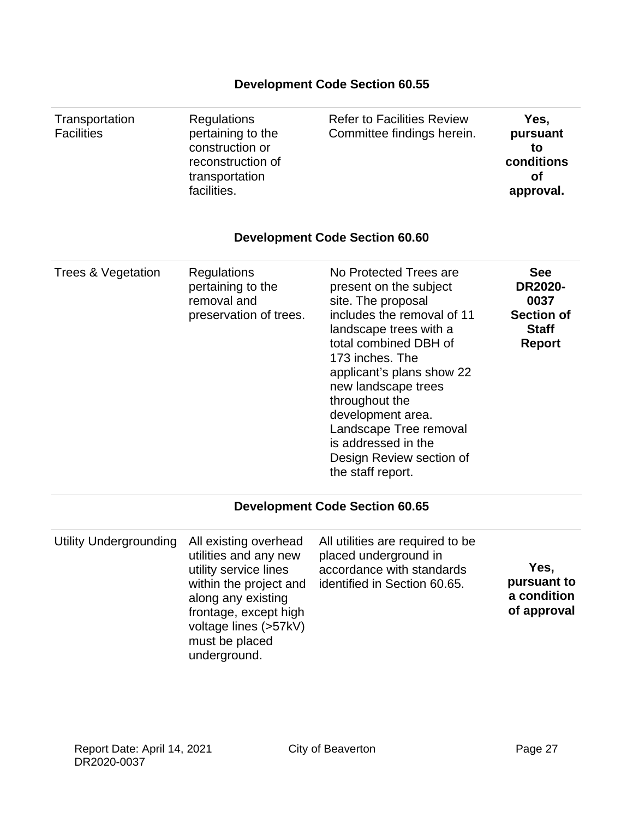#### **Transportation Facilities Regulations** pertaining to the construction or reconstruction of transportation facilities. Refer to Facilities Review Committee findings herein. **Yes, pursuant to conditions of approval. Development Code Section 60.60** Trees & Vegetation Regulations pertaining to the removal and preservation of trees. No Protected Trees are present on the subject site. The proposal includes the removal of 11 landscape trees with a total combined DBH of 173 inches. The applicant's plans show 22 new landscape trees throughout the development area. Landscape Tree removal is addressed in the Design Review section of the staff report. **See DR2020- 0037 Section of Staff Report**

**Development Code Section 60.55**

#### **Development Code Section 60.65**

| Utility Undergrounding | All existing overhead<br>utilities and any new<br>utility service lines<br>within the project and<br>along any existing<br>frontage, except high<br>voltage lines (>57kV)<br>must be placed<br>underground. | All utilities are required to be<br>placed underground in<br>accordance with standards<br>identified in Section 60.65. | Yes,<br>pursuant to<br>a condition<br>of approval |
|------------------------|-------------------------------------------------------------------------------------------------------------------------------------------------------------------------------------------------------------|------------------------------------------------------------------------------------------------------------------------|---------------------------------------------------|
|------------------------|-------------------------------------------------------------------------------------------------------------------------------------------------------------------------------------------------------------|------------------------------------------------------------------------------------------------------------------------|---------------------------------------------------|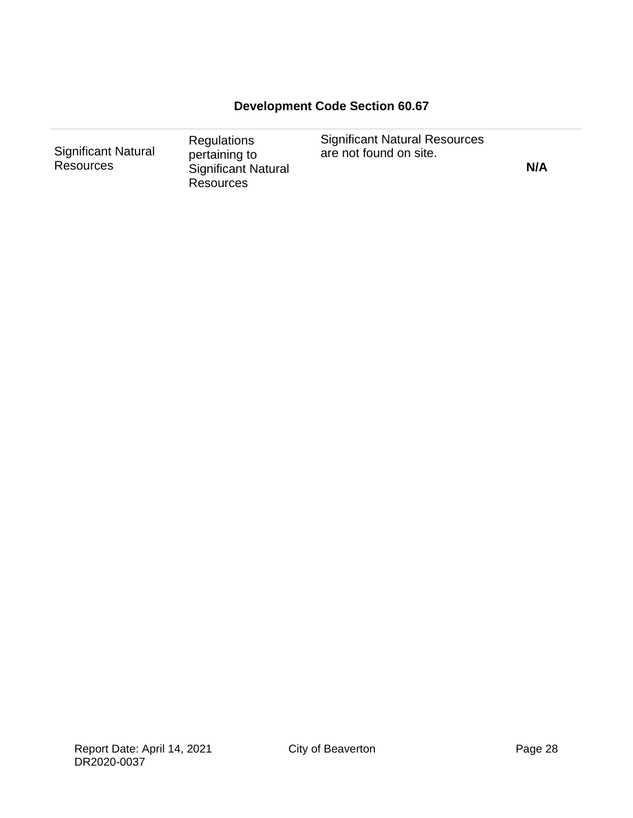### **Development Code Section 60.67**

| Regulations<br><b>Significant Natural</b><br>pertaining to<br><b>Resources</b><br><b>Significant Natural</b><br><b>Resources</b> | <b>Significant Natural Resources</b><br>are not found on site. | N/A |
|----------------------------------------------------------------------------------------------------------------------------------|----------------------------------------------------------------|-----|
|----------------------------------------------------------------------------------------------------------------------------------|----------------------------------------------------------------|-----|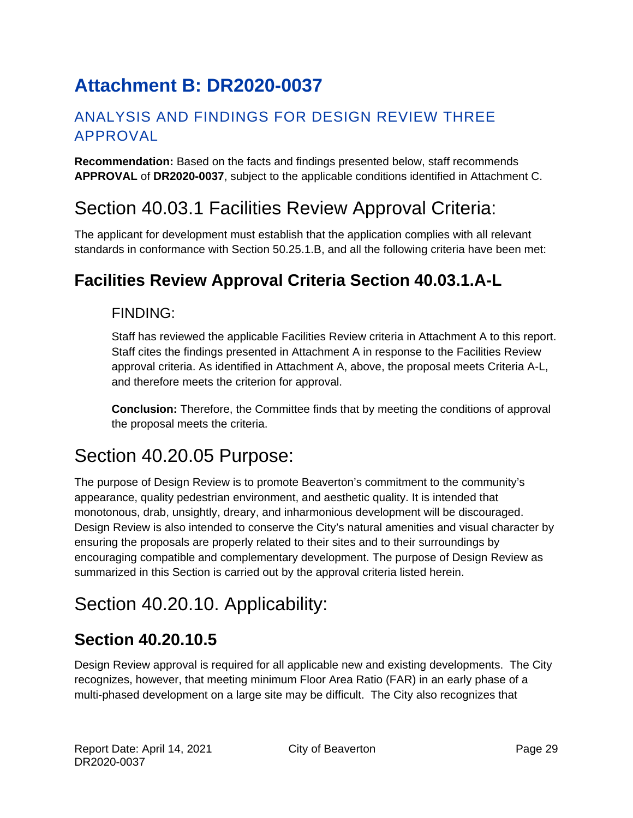# <span id="page-28-0"></span>**Attachment B: DR2020-0037**

### ANALYSIS AND FINDINGS FOR DESIGN REVIEW THREE APPROVAL

**Recommendation:** Based on the facts and findings presented below, staff recommends **APPROVAL** of **DR2020-0037**, subject to the applicable conditions identified in Attachment C.

# Section 40.03.1 Facilities Review Approval Criteria:

The applicant for development must establish that the application complies with all relevant standards in conformance with Section 50.25.1.B, and all the following criteria have been met:

# **Facilities Review Approval Criteria Section 40.03.1.A-L**

### FINDING:

Staff has reviewed the applicable Facilities Review criteria in Attachment A to this report. Staff cites the findings presented in Attachment A in response to the Facilities Review approval criteria. As identified in Attachment A, above, the proposal meets Criteria A-L, and therefore meets the criterion for approval.

**Conclusion:** Therefore, the Committee finds that by meeting the conditions of approval the proposal meets the criteria.

# Section 40.20.05 Purpose:

The purpose of Design Review is to promote Beaverton's commitment to the community's appearance, quality pedestrian environment, and aesthetic quality. It is intended that monotonous, drab, unsightly, dreary, and inharmonious development will be discouraged. Design Review is also intended to conserve the City's natural amenities and visual character by ensuring the proposals are properly related to their sites and to their surroundings by encouraging compatible and complementary development. The purpose of Design Review as summarized in this Section is carried out by the approval criteria listed herein.

# Section 40.20.10. Applicability:

# **Section 40.20.10.5**

Design Review approval is required for all applicable new and existing developments. The City recognizes, however, that meeting minimum Floor Area Ratio (FAR) in an early phase of a multi-phased development on a large site may be difficult. The City also recognizes that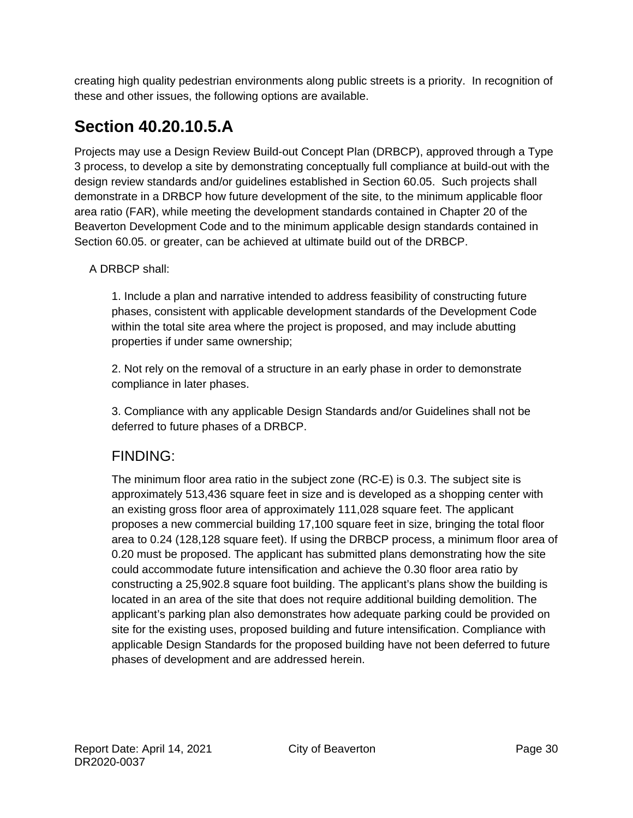creating high quality pedestrian environments along public streets is a priority. In recognition of these and other issues, the following options are available.

# **Section 40.20.10.5.A**

Projects may use a Design Review Build-out Concept Plan (DRBCP), approved through a Type 3 process, to develop a site by demonstrating conceptually full compliance at build-out with the design review standards and/or guidelines established in Section 60.05. Such projects shall demonstrate in a DRBCP how future development of the site, to the minimum applicable floor area ratio (FAR), while meeting the development standards contained in Chapter 20 of the Beaverton Development Code and to the minimum applicable design standards contained in Section 60.05. or greater, can be achieved at ultimate build out of the DRBCP.

#### A DRBCP shall:

1. Include a plan and narrative intended to address feasibility of constructing future phases, consistent with applicable development standards of the Development Code within the total site area where the project is proposed, and may include abutting properties if under same ownership;

2. Not rely on the removal of a structure in an early phase in order to demonstrate compliance in later phases.

3. Compliance with any applicable Design Standards and/or Guidelines shall not be deferred to future phases of a DRBCP.

### FINDING:

The minimum floor area ratio in the subject zone (RC-E) is 0.3. The subject site is approximately 513,436 square feet in size and is developed as a shopping center with an existing gross floor area of approximately 111,028 square feet. The applicant proposes a new commercial building 17,100 square feet in size, bringing the total floor area to 0.24 (128,128 square feet). If using the DRBCP process, a minimum floor area of 0.20 must be proposed. The applicant has submitted plans demonstrating how the site could accommodate future intensification and achieve the 0.30 floor area ratio by constructing a 25,902.8 square foot building. The applicant's plans show the building is located in an area of the site that does not require additional building demolition. The applicant's parking plan also demonstrates how adequate parking could be provided on site for the existing uses, proposed building and future intensification. Compliance with applicable Design Standards for the proposed building have not been deferred to future phases of development and are addressed herein.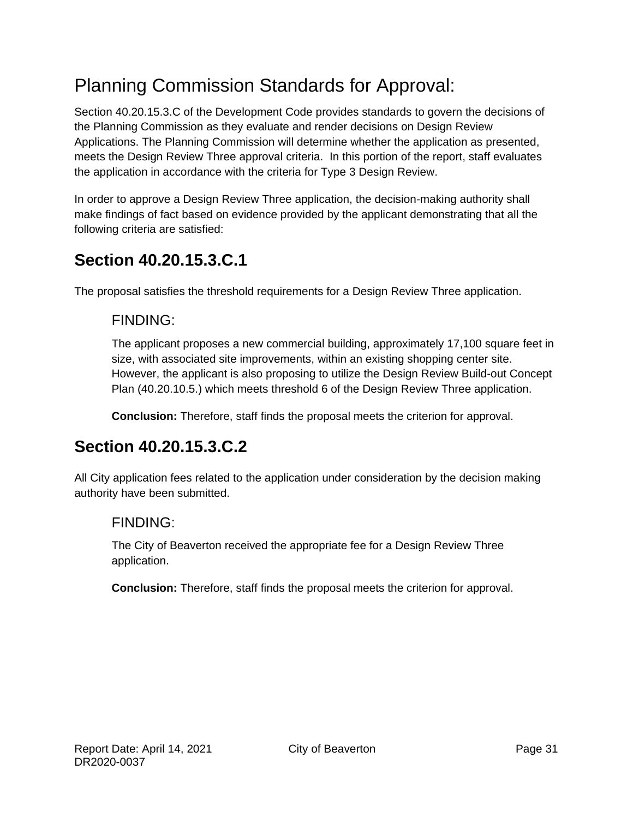# Planning Commission Standards for Approval:

Section 40.20.15.3.C of the Development Code provides standards to govern the decisions of the Planning Commission as they evaluate and render decisions on Design Review Applications. The Planning Commission will determine whether the application as presented, meets the Design Review Three approval criteria. In this portion of the report, staff evaluates the application in accordance with the criteria for Type 3 Design Review.

In order to approve a Design Review Three application, the decision-making authority shall make findings of fact based on evidence provided by the applicant demonstrating that all the following criteria are satisfied:

# **Section 40.20.15.3.C.1**

The proposal satisfies the threshold requirements for a Design Review Three application.

### FINDING:

The applicant proposes a new commercial building, approximately 17,100 square feet in size, with associated site improvements, within an existing shopping center site. However, the applicant is also proposing to utilize the Design Review Build-out Concept Plan (40.20.10.5.) which meets threshold 6 of the Design Review Three application.

**Conclusion:** Therefore, staff finds the proposal meets the criterion for approval.

# **Section 40.20.15.3.C.2**

All City application fees related to the application under consideration by the decision making authority have been submitted.

### FINDING:

The City of Beaverton received the appropriate fee for a Design Review Three application.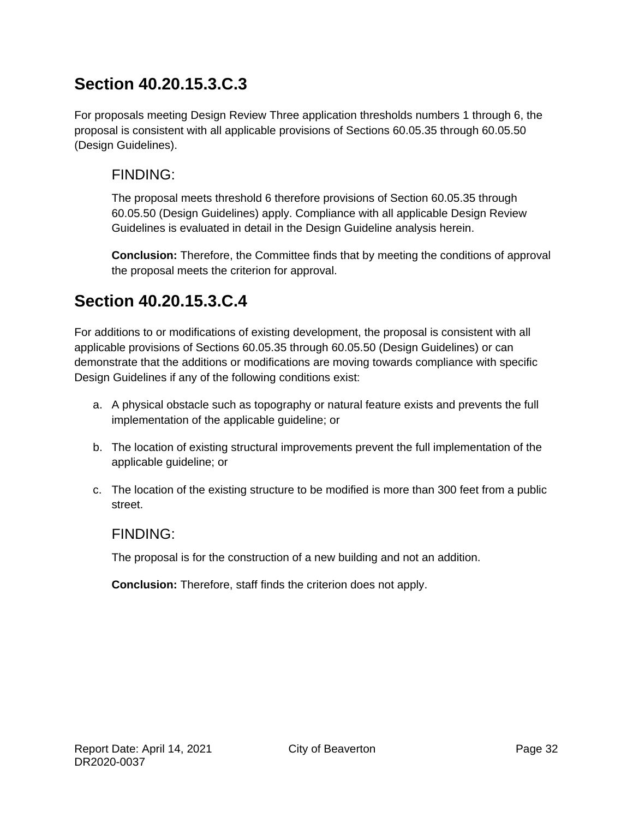# **Section 40.20.15.3.C.3**

For proposals meeting Design Review Three application thresholds numbers 1 through 6, the proposal is consistent with all applicable provisions of Sections 60.05.35 through 60.05.50 (Design Guidelines).

### FINDING:

The proposal meets threshold 6 therefore provisions of Section 60.05.35 through 60.05.50 (Design Guidelines) apply. Compliance with all applicable Design Review Guidelines is evaluated in detail in the Design Guideline analysis herein.

**Conclusion:** Therefore, the Committee finds that by meeting the conditions of approval the proposal meets the criterion for approval.

# **Section 40.20.15.3.C.4**

For additions to or modifications of existing development, the proposal is consistent with all applicable provisions of Sections 60.05.35 through 60.05.50 (Design Guidelines) or can demonstrate that the additions or modifications are moving towards compliance with specific Design Guidelines if any of the following conditions exist:

- a. A physical obstacle such as topography or natural feature exists and prevents the full implementation of the applicable guideline; or
- b. The location of existing structural improvements prevent the full implementation of the applicable guideline; or
- c. The location of the existing structure to be modified is more than 300 feet from a public street.

### FINDING:

The proposal is for the construction of a new building and not an addition.

**Conclusion:** Therefore, staff finds the criterion does not apply.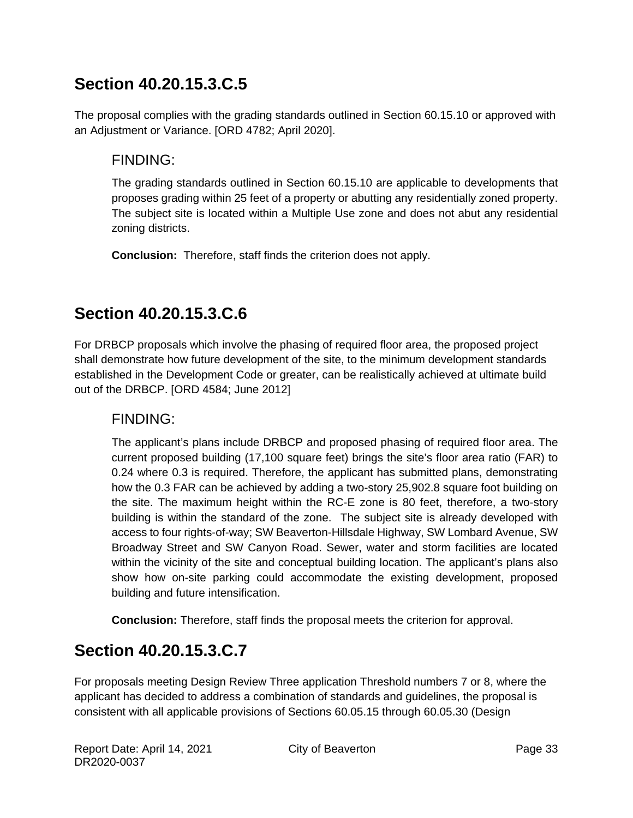# **Section 40.20.15.3.C.5**

The proposal complies with the grading standards outlined in Section 60.15.10 or approved with an Adjustment or Variance. [ORD 4782; April 2020].

### FINDING:

The grading standards outlined in Section 60.15.10 are applicable to developments that proposes grading within 25 feet of a property or abutting any residentially zoned property. The subject site is located within a Multiple Use zone and does not abut any residential zoning districts.

**Conclusion:** Therefore, staff finds the criterion does not apply.

# **Section 40.20.15.3.C.6**

For DRBCP proposals which involve the phasing of required floor area, the proposed project shall demonstrate how future development of the site, to the minimum development standards established in the Development Code or greater, can be realistically achieved at ultimate build out of the DRBCP. [ORD 4584; June 2012]

### FINDING:

The applicant's plans include DRBCP and proposed phasing of required floor area. The current proposed building (17,100 square feet) brings the site's floor area ratio (FAR) to 0.24 where 0.3 is required. Therefore, the applicant has submitted plans, demonstrating how the 0.3 FAR can be achieved by adding a two-story 25,902.8 square foot building on the site. The maximum height within the RC-E zone is 80 feet, therefore, a two-story building is within the standard of the zone. The subject site is already developed with access to four rights-of-way; SW Beaverton-Hillsdale Highway, SW Lombard Avenue, SW Broadway Street and SW Canyon Road. Sewer, water and storm facilities are located within the vicinity of the site and conceptual building location. The applicant's plans also show how on-site parking could accommodate the existing development, proposed building and future intensification.

**Conclusion:** Therefore, staff finds the proposal meets the criterion for approval.

# **Section 40.20.15.3.C.7**

For proposals meeting Design Review Three application Threshold numbers 7 or 8, where the applicant has decided to address a combination of standards and guidelines, the proposal is consistent with all applicable provisions of Sections 60.05.15 through 60.05.30 (Design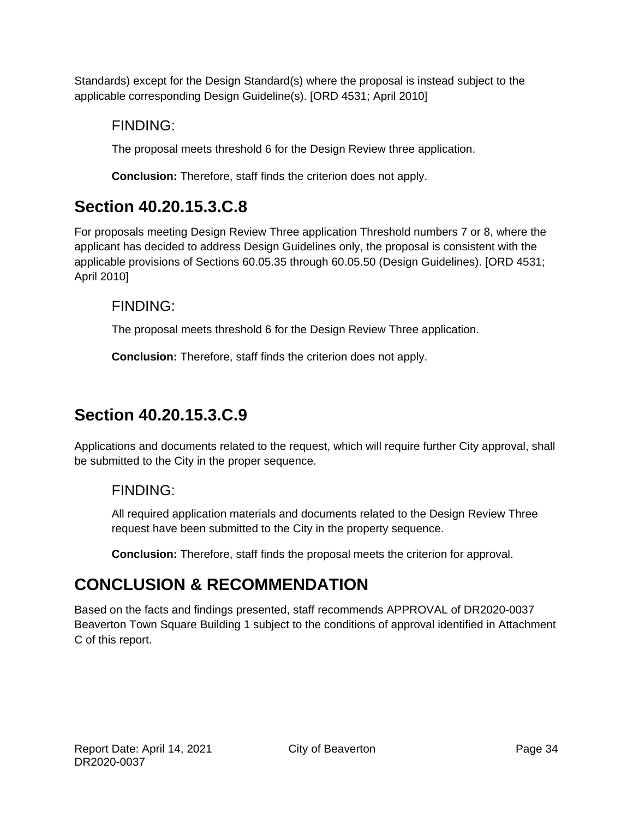Standards) except for the Design Standard(s) where the proposal is instead subject to the applicable corresponding Design Guideline(s). [ORD 4531; April 2010]

### FINDING:

The proposal meets threshold 6 for the Design Review three application.

**Conclusion:** Therefore, staff finds the criterion does not apply.

# **Section 40.20.15.3.C.8**

For proposals meeting Design Review Three application Threshold numbers 7 or 8, where the applicant has decided to address Design Guidelines only, the proposal is consistent with the applicable provisions of Sections 60.05.35 through 60.05.50 (Design Guidelines). [ORD 4531; April 2010]

### FINDING:

The proposal meets threshold 6 for the Design Review Three application.

**Conclusion:** Therefore, staff finds the criterion does not apply.

# **Section 40.20.15.3.C.9**

Applications and documents related to the request, which will require further City approval, shall be submitted to the City in the proper sequence.

### FINDING:

All required application materials and documents related to the Design Review Three request have been submitted to the City in the property sequence.

**Conclusion:** Therefore, staff finds the proposal meets the criterion for approval.

# **CONCLUSION & RECOMMENDATION**

Based on the facts and findings presented, staff recommends APPROVAL of DR2020-0037 Beaverton Town Square Building 1 subject to the conditions of approval identified in Attachment C of this report.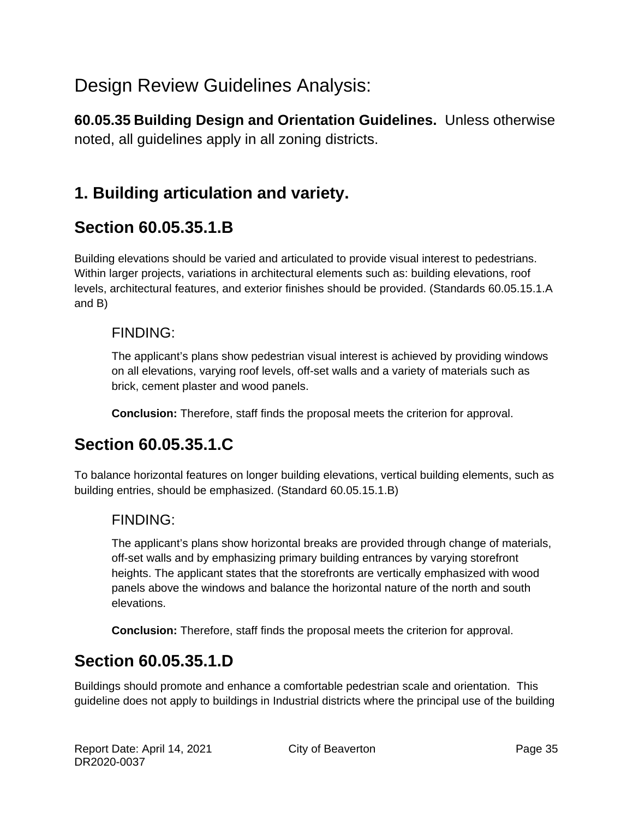# Design Review Guidelines Analysis:

**60.05.35 Building Design and Orientation Guidelines.** Unless otherwise noted, all guidelines apply in all zoning districts.

# **1. Building articulation and variety.**

### **Section 60.05.35.1.B**

Building elevations should be varied and articulated to provide visual interest to pedestrians. Within larger projects, variations in architectural elements such as: building elevations, roof levels, architectural features, and exterior finishes should be provided. (Standards 60.05.15.1.A and B)

#### FINDING:

The applicant's plans show pedestrian visual interest is achieved by providing windows on all elevations, varying roof levels, off-set walls and a variety of materials such as brick, cement plaster and wood panels.

**Conclusion:** Therefore, staff finds the proposal meets the criterion for approval.

# **Section 60.05.35.1.C**

To balance horizontal features on longer building elevations, vertical building elements, such as building entries, should be emphasized. (Standard 60.05.15.1.B)

### FINDING:

The applicant's plans show horizontal breaks are provided through change of materials, off-set walls and by emphasizing primary building entrances by varying storefront heights. The applicant states that the storefronts are vertically emphasized with wood panels above the windows and balance the horizontal nature of the north and south elevations.

**Conclusion:** Therefore, staff finds the proposal meets the criterion for approval.

# **Section 60.05.35.1.D**

Buildings should promote and enhance a comfortable pedestrian scale and orientation. This guideline does not apply to buildings in Industrial districts where the principal use of the building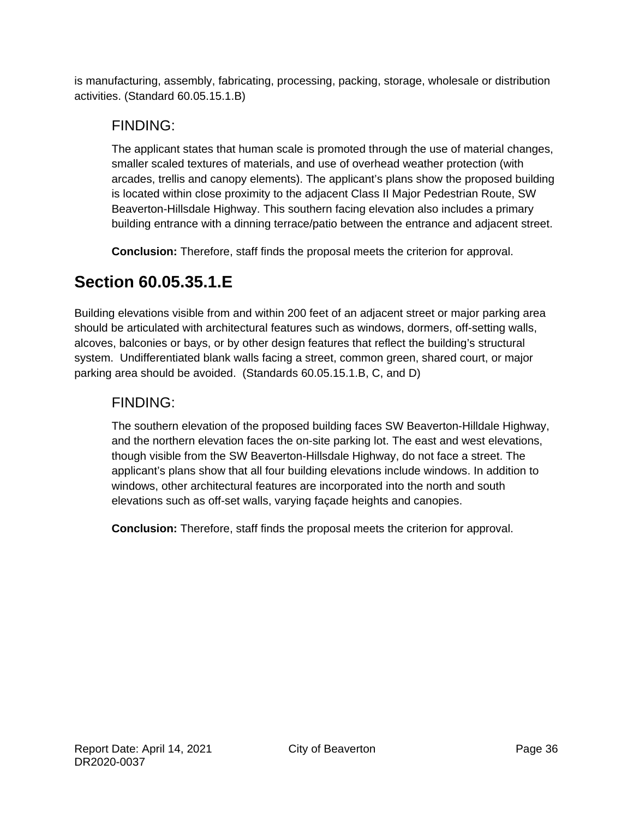is manufacturing, assembly, fabricating, processing, packing, storage, wholesale or distribution activities. (Standard 60.05.15.1.B)

### FINDING:

The applicant states that human scale is promoted through the use of material changes, smaller scaled textures of materials, and use of overhead weather protection (with arcades, trellis and canopy elements). The applicant's plans show the proposed building is located within close proximity to the adjacent Class II Major Pedestrian Route, SW Beaverton-Hillsdale Highway. This southern facing elevation also includes a primary building entrance with a dinning terrace/patio between the entrance and adjacent street.

**Conclusion:** Therefore, staff finds the proposal meets the criterion for approval.

# **Section 60.05.35.1.E**

Building elevations visible from and within 200 feet of an adjacent street or major parking area should be articulated with architectural features such as windows, dormers, off-setting walls, alcoves, balconies or bays, or by other design features that reflect the building's structural system. Undifferentiated blank walls facing a street, common green, shared court, or major parking area should be avoided. (Standards 60.05.15.1.B, C, and D)

### FINDING:

The southern elevation of the proposed building faces SW Beaverton-Hilldale Highway, and the northern elevation faces the on-site parking lot. The east and west elevations, though visible from the SW Beaverton-Hillsdale Highway, do not face a street. The applicant's plans show that all four building elevations include windows. In addition to windows, other architectural features are incorporated into the north and south elevations such as off-set walls, varying façade heights and canopies.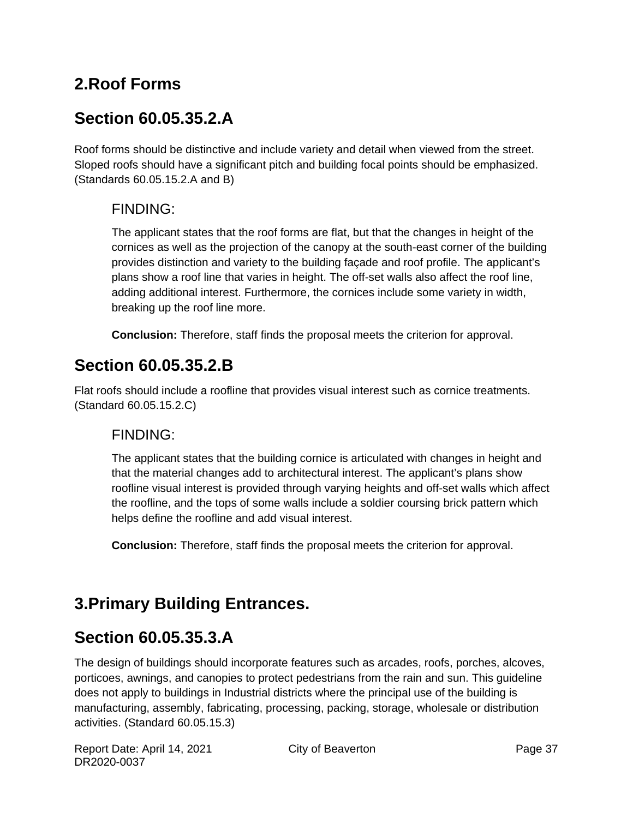# **2.Roof Forms**

# **Section 60.05.35.2.A**

Roof forms should be distinctive and include variety and detail when viewed from the street. Sloped roofs should have a significant pitch and building focal points should be emphasized. (Standards 60.05.15.2.A and B)

### FINDING:

The applicant states that the roof forms are flat, but that the changes in height of the cornices as well as the projection of the canopy at the south-east corner of the building provides distinction and variety to the building façade and roof profile. The applicant's plans show a roof line that varies in height. The off-set walls also affect the roof line, adding additional interest. Furthermore, the cornices include some variety in width, breaking up the roof line more.

**Conclusion:** Therefore, staff finds the proposal meets the criterion for approval.

# **Section 60.05.35.2.B**

Flat roofs should include a roofline that provides visual interest such as cornice treatments. (Standard 60.05.15.2.C)

### FINDING:

The applicant states that the building cornice is articulated with changes in height and that the material changes add to architectural interest. The applicant's plans show roofline visual interest is provided through varying heights and off-set walls which affect the roofline, and the tops of some walls include a soldier coursing brick pattern which helps define the roofline and add visual interest.

**Conclusion:** Therefore, staff finds the proposal meets the criterion for approval.

# **3.Primary Building Entrances.**

# **Section 60.05.35.3.A**

The design of buildings should incorporate features such as arcades, roofs, porches, alcoves, porticoes, awnings, and canopies to protect pedestrians from the rain and sun. This guideline does not apply to buildings in Industrial districts where the principal use of the building is manufacturing, assembly, fabricating, processing, packing, storage, wholesale or distribution activities. (Standard 60.05.15.3)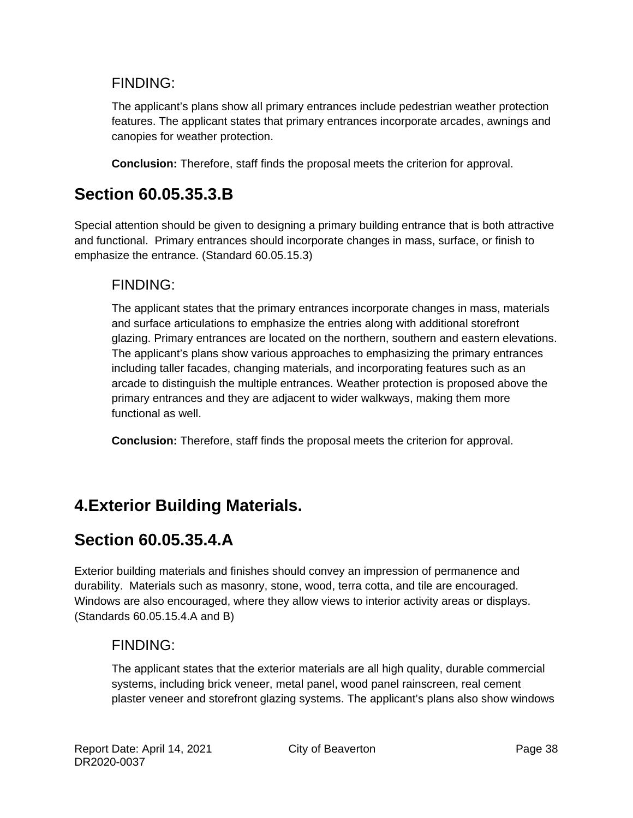### FINDING:

The applicant's plans show all primary entrances include pedestrian weather protection features. The applicant states that primary entrances incorporate arcades, awnings and canopies for weather protection.

**Conclusion:** Therefore, staff finds the proposal meets the criterion for approval.

### **Section 60.05.35.3.B**

Special attention should be given to designing a primary building entrance that is both attractive and functional. Primary entrances should incorporate changes in mass, surface, or finish to emphasize the entrance. (Standard 60.05.15.3)

#### FINDING:

The applicant states that the primary entrances incorporate changes in mass, materials and surface articulations to emphasize the entries along with additional storefront glazing. Primary entrances are located on the northern, southern and eastern elevations. The applicant's plans show various approaches to emphasizing the primary entrances including taller facades, changing materials, and incorporating features such as an arcade to distinguish the multiple entrances. Weather protection is proposed above the primary entrances and they are adjacent to wider walkways, making them more functional as well.

**Conclusion:** Therefore, staff finds the proposal meets the criterion for approval.

# **4.Exterior Building Materials.**

# **Section 60.05.35.4.A**

Exterior building materials and finishes should convey an impression of permanence and durability. Materials such as masonry, stone, wood, terra cotta, and tile are encouraged. Windows are also encouraged, where they allow views to interior activity areas or displays. (Standards 60.05.15.4.A and B)

### FINDING:

The applicant states that the exterior materials are all high quality, durable commercial systems, including brick veneer, metal panel, wood panel rainscreen, real cement plaster veneer and storefront glazing systems. The applicant's plans also show windows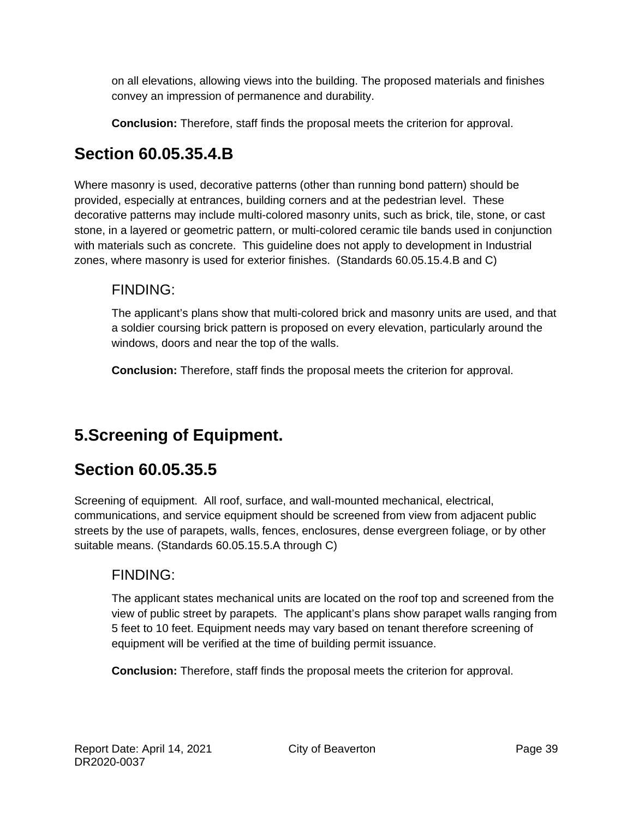on all elevations, allowing views into the building. The proposed materials and finishes convey an impression of permanence and durability.

**Conclusion:** Therefore, staff finds the proposal meets the criterion for approval.

# **Section 60.05.35.4.B**

Where masonry is used, decorative patterns (other than running bond pattern) should be provided, especially at entrances, building corners and at the pedestrian level. These decorative patterns may include multi-colored masonry units, such as brick, tile, stone, or cast stone, in a layered or geometric pattern, or multi-colored ceramic tile bands used in conjunction with materials such as concrete. This guideline does not apply to development in Industrial zones, where masonry is used for exterior finishes. (Standards 60.05.15.4.B and C)

### FINDING:

The applicant's plans show that multi-colored brick and masonry units are used, and that a soldier coursing brick pattern is proposed on every elevation, particularly around the windows, doors and near the top of the walls.

**Conclusion:** Therefore, staff finds the proposal meets the criterion for approval.

# **5.Screening of Equipment.**

# **Section 60.05.35.5**

Screening of equipment. All roof, surface, and wall-mounted mechanical, electrical, communications, and service equipment should be screened from view from adjacent public streets by the use of parapets, walls, fences, enclosures, dense evergreen foliage, or by other suitable means. (Standards 60.05.15.5.A through C)

### FINDING:

The applicant states mechanical units are located on the roof top and screened from the view of public street by parapets. The applicant's plans show parapet walls ranging from 5 feet to 10 feet. Equipment needs may vary based on tenant therefore screening of equipment will be verified at the time of building permit issuance.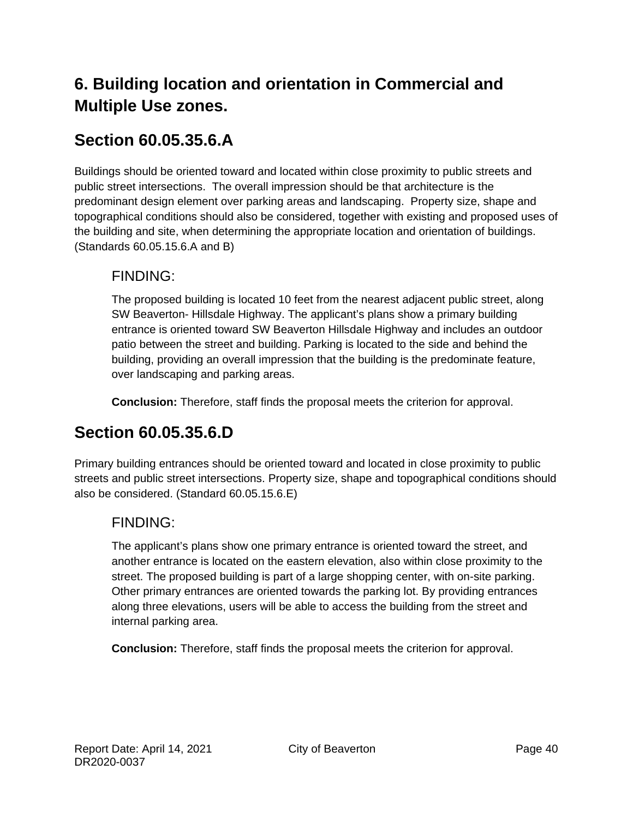# **6. Building location and orientation in Commercial and Multiple Use zones.**

# **Section 60.05.35.6.A**

Buildings should be oriented toward and located within close proximity to public streets and public street intersections. The overall impression should be that architecture is the predominant design element over parking areas and landscaping. Property size, shape and topographical conditions should also be considered, together with existing and proposed uses of the building and site, when determining the appropriate location and orientation of buildings. (Standards 60.05.15.6.A and B)

### FINDING:

The proposed building is located 10 feet from the nearest adjacent public street, along SW Beaverton- Hillsdale Highway. The applicant's plans show a primary building entrance is oriented toward SW Beaverton Hillsdale Highway and includes an outdoor patio between the street and building. Parking is located to the side and behind the building, providing an overall impression that the building is the predominate feature, over landscaping and parking areas.

**Conclusion:** Therefore, staff finds the proposal meets the criterion for approval.

# **Section 60.05.35.6.D**

Primary building entrances should be oriented toward and located in close proximity to public streets and public street intersections. Property size, shape and topographical conditions should also be considered. (Standard 60.05.15.6.E)

### FINDING:

The applicant's plans show one primary entrance is oriented toward the street, and another entrance is located on the eastern elevation, also within close proximity to the street. The proposed building is part of a large shopping center, with on-site parking. Other primary entrances are oriented towards the parking lot. By providing entrances along three elevations, users will be able to access the building from the street and internal parking area.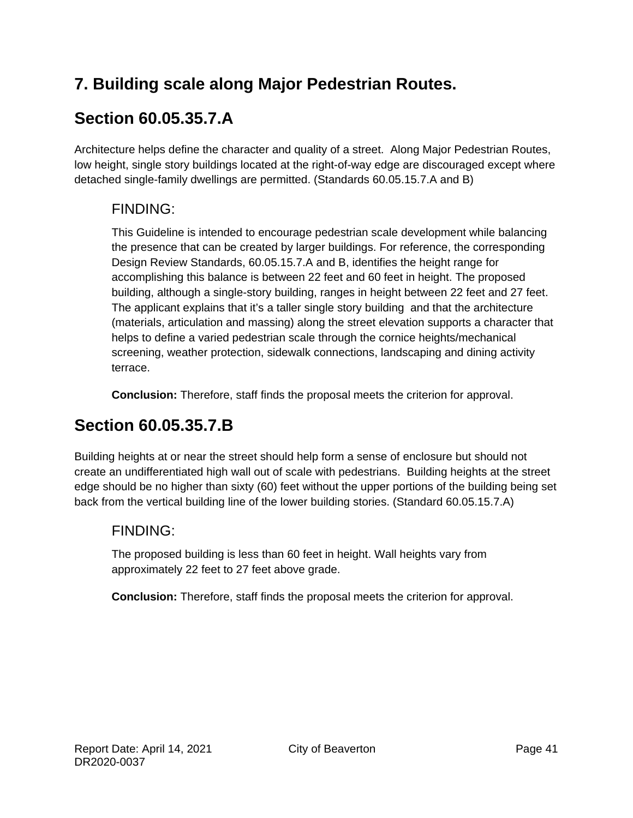# **7. Building scale along Major Pedestrian Routes.**

# **Section 60.05.35.7.A**

Architecture helps define the character and quality of a street. Along Major Pedestrian Routes, low height, single story buildings located at the right-of-way edge are discouraged except where detached single-family dwellings are permitted. (Standards 60.05.15.7.A and B)

### FINDING:

This Guideline is intended to encourage pedestrian scale development while balancing the presence that can be created by larger buildings. For reference, the corresponding Design Review Standards, 60.05.15.7.A and B, identifies the height range for accomplishing this balance is between 22 feet and 60 feet in height. The proposed building, although a single-story building, ranges in height between 22 feet and 27 feet. The applicant explains that it's a taller single story building and that the architecture (materials, articulation and massing) along the street elevation supports a character that helps to define a varied pedestrian scale through the cornice heights/mechanical screening, weather protection, sidewalk connections, landscaping and dining activity terrace.

**Conclusion:** Therefore, staff finds the proposal meets the criterion for approval.

# **Section 60.05.35.7.B**

Building heights at or near the street should help form a sense of enclosure but should not create an undifferentiated high wall out of scale with pedestrians. Building heights at the street edge should be no higher than sixty (60) feet without the upper portions of the building being set back from the vertical building line of the lower building stories. (Standard 60.05.15.7.A)

### FINDING:

The proposed building is less than 60 feet in height. Wall heights vary from approximately 22 feet to 27 feet above grade.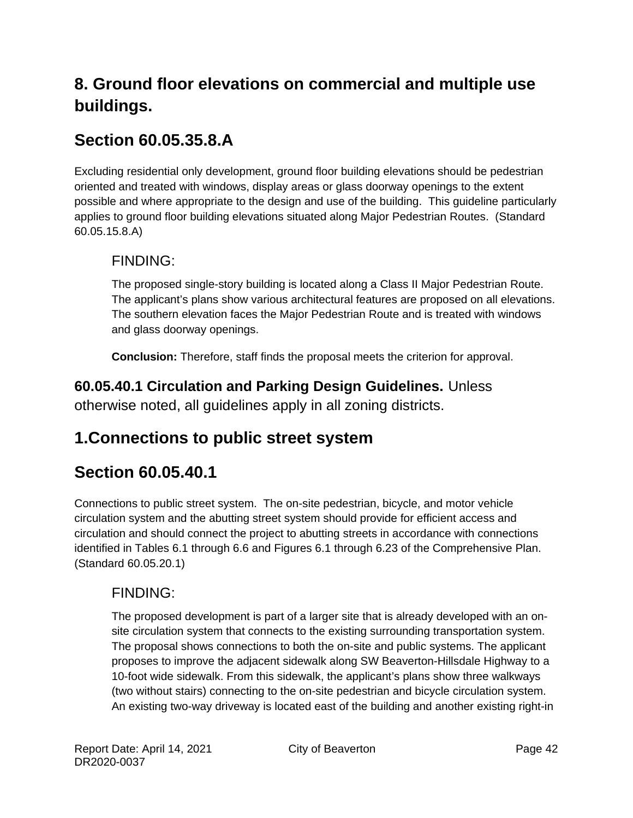# **8. Ground floor elevations on commercial and multiple use buildings.**

# **Section 60.05.35.8.A**

Excluding residential only development, ground floor building elevations should be pedestrian oriented and treated with windows, display areas or glass doorway openings to the extent possible and where appropriate to the design and use of the building. This guideline particularly applies to ground floor building elevations situated along Major Pedestrian Routes. (Standard 60.05.15.8.A)

### FINDING:

The proposed single-story building is located along a Class II Major Pedestrian Route. The applicant's plans show various architectural features are proposed on all elevations. The southern elevation faces the Major Pedestrian Route and is treated with windows and glass doorway openings.

**Conclusion:** Therefore, staff finds the proposal meets the criterion for approval.

**60.05.40.1 Circulation and Parking Design Guidelines.** Unless otherwise noted, all guidelines apply in all zoning districts.

# **1.Connections to public street system**

# **Section 60.05.40.1**

Connections to public street system. The on-site pedestrian, bicycle, and motor vehicle circulation system and the abutting street system should provide for efficient access and circulation and should connect the project to abutting streets in accordance with connections identified in Tables 6.1 through 6.6 and Figures 6.1 through 6.23 of the Comprehensive Plan. (Standard 60.05.20.1)

### FINDING:

The proposed development is part of a larger site that is already developed with an onsite circulation system that connects to the existing surrounding transportation system. The proposal shows connections to both the on-site and public systems. The applicant proposes to improve the adjacent sidewalk along SW Beaverton-Hillsdale Highway to a 10-foot wide sidewalk. From this sidewalk, the applicant's plans show three walkways (two without stairs) connecting to the on-site pedestrian and bicycle circulation system. An existing two-way driveway is located east of the building and another existing right-in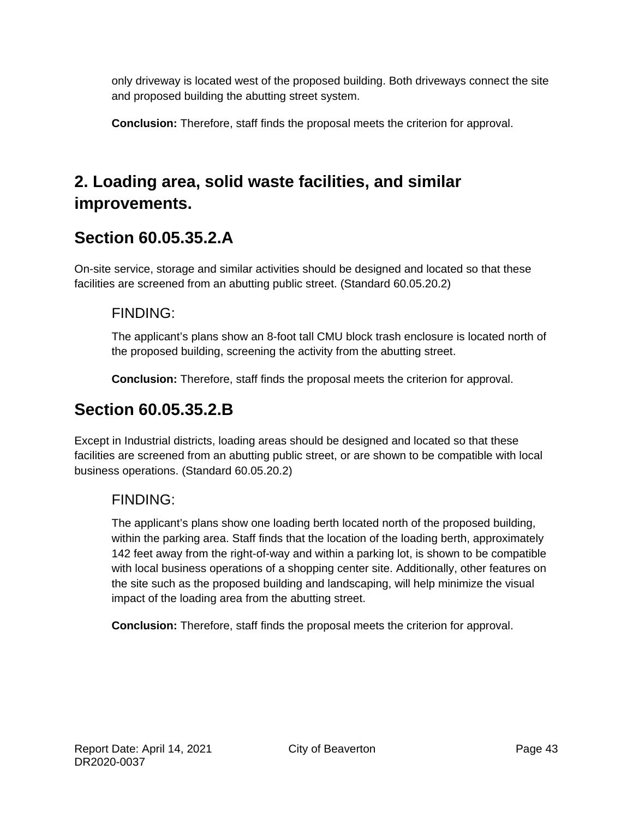only driveway is located west of the proposed building. Both driveways connect the site and proposed building the abutting street system.

**Conclusion:** Therefore, staff finds the proposal meets the criterion for approval.

# **2. Loading area, solid waste facilities, and similar improvements.**

# **Section 60.05.35.2.A**

On-site service, storage and similar activities should be designed and located so that these facilities are screened from an abutting public street. (Standard 60.05.20.2)

### FINDING:

The applicant's plans show an 8-foot tall CMU block trash enclosure is located north of the proposed building, screening the activity from the abutting street.

**Conclusion:** Therefore, staff finds the proposal meets the criterion for approval.

# **Section 60.05.35.2.B**

Except in Industrial districts, loading areas should be designed and located so that these facilities are screened from an abutting public street, or are shown to be compatible with local business operations. (Standard 60.05.20.2)

### FINDING:

The applicant's plans show one loading berth located north of the proposed building, within the parking area. Staff finds that the location of the loading berth, approximately 142 feet away from the right-of-way and within a parking lot, is shown to be compatible with local business operations of a shopping center site. Additionally, other features on the site such as the proposed building and landscaping, will help minimize the visual impact of the loading area from the abutting street.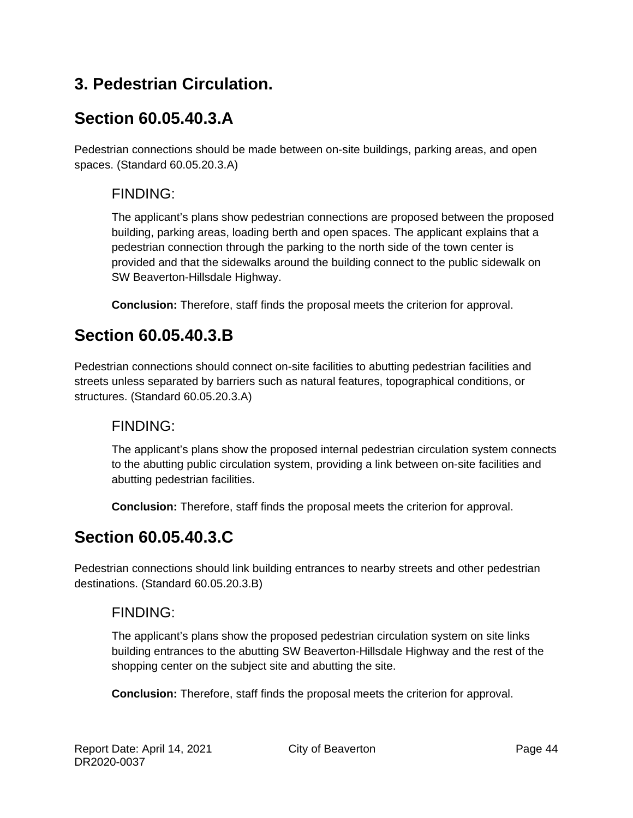# **3. Pedestrian Circulation.**

# **Section 60.05.40.3.A**

Pedestrian connections should be made between on-site buildings, parking areas, and open spaces. (Standard 60.05.20.3.A)

### FINDING:

The applicant's plans show pedestrian connections are proposed between the proposed building, parking areas, loading berth and open spaces. The applicant explains that a pedestrian connection through the parking to the north side of the town center is provided and that the sidewalks around the building connect to the public sidewalk on SW Beaverton-Hillsdale Highway.

**Conclusion:** Therefore, staff finds the proposal meets the criterion for approval.

# **Section 60.05.40.3.B**

Pedestrian connections should connect on-site facilities to abutting pedestrian facilities and streets unless separated by barriers such as natural features, topographical conditions, or structures. (Standard 60.05.20.3.A)

### FINDING:

The applicant's plans show the proposed internal pedestrian circulation system connects to the abutting public circulation system, providing a link between on-site facilities and abutting pedestrian facilities.

**Conclusion:** Therefore, staff finds the proposal meets the criterion for approval.

# **Section 60.05.40.3.C**

Pedestrian connections should link building entrances to nearby streets and other pedestrian destinations. (Standard 60.05.20.3.B)

### FINDING:

The applicant's plans show the proposed pedestrian circulation system on site links building entrances to the abutting SW Beaverton-Hillsdale Highway and the rest of the shopping center on the subject site and abutting the site.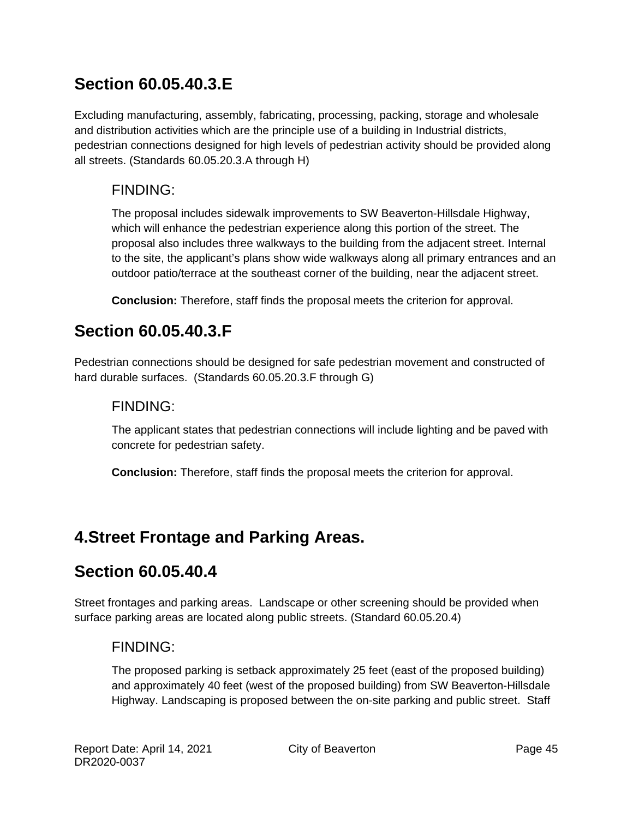# **Section 60.05.40.3.E**

Excluding manufacturing, assembly, fabricating, processing, packing, storage and wholesale and distribution activities which are the principle use of a building in Industrial districts, pedestrian connections designed for high levels of pedestrian activity should be provided along all streets. (Standards 60.05.20.3.A through H)

### FINDING:

The proposal includes sidewalk improvements to SW Beaverton-Hillsdale Highway, which will enhance the pedestrian experience along this portion of the street. The proposal also includes three walkways to the building from the adjacent street. Internal to the site, the applicant's plans show wide walkways along all primary entrances and an outdoor patio/terrace at the southeast corner of the building, near the adjacent street.

**Conclusion:** Therefore, staff finds the proposal meets the criterion for approval.

# **Section 60.05.40.3.F**

Pedestrian connections should be designed for safe pedestrian movement and constructed of hard durable surfaces. (Standards 60.05.20.3.F through G)

#### FINDING:

The applicant states that pedestrian connections will include lighting and be paved with concrete for pedestrian safety.

**Conclusion:** Therefore, staff finds the proposal meets the criterion for approval.

# **4.Street Frontage and Parking Areas.**

### **Section 60.05.40.4**

Street frontages and parking areas. Landscape or other screening should be provided when surface parking areas are located along public streets. (Standard 60.05.20.4)

### FINDING:

The proposed parking is setback approximately 25 feet (east of the proposed building) and approximately 40 feet (west of the proposed building) from SW Beaverton-Hillsdale Highway. Landscaping is proposed between the on-site parking and public street. Staff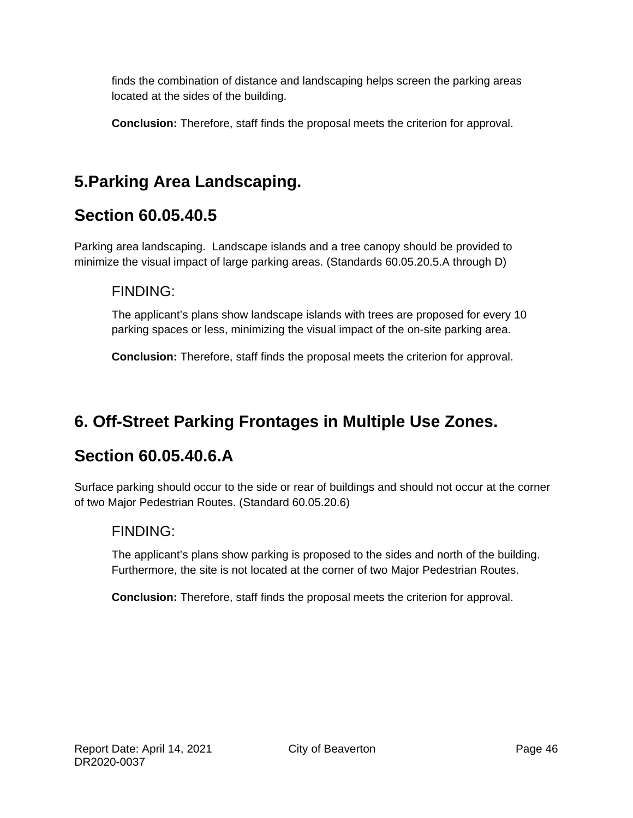finds the combination of distance and landscaping helps screen the parking areas located at the sides of the building.

**Conclusion:** Therefore, staff finds the proposal meets the criterion for approval.

# **5.Parking Area Landscaping.**

# **Section 60.05.40.5**

Parking area landscaping. Landscape islands and a tree canopy should be provided to minimize the visual impact of large parking areas. (Standards 60.05.20.5.A through D)

#### FINDING:

The applicant's plans show landscape islands with trees are proposed for every 10 parking spaces or less, minimizing the visual impact of the on-site parking area.

**Conclusion:** Therefore, staff finds the proposal meets the criterion for approval.

# **6. Off-Street Parking Frontages in Multiple Use Zones.**

### **Section 60.05.40.6.A**

Surface parking should occur to the side or rear of buildings and should not occur at the corner of two Major Pedestrian Routes. (Standard 60.05.20.6)

### FINDING:

The applicant's plans show parking is proposed to the sides and north of the building. Furthermore, the site is not located at the corner of two Major Pedestrian Routes.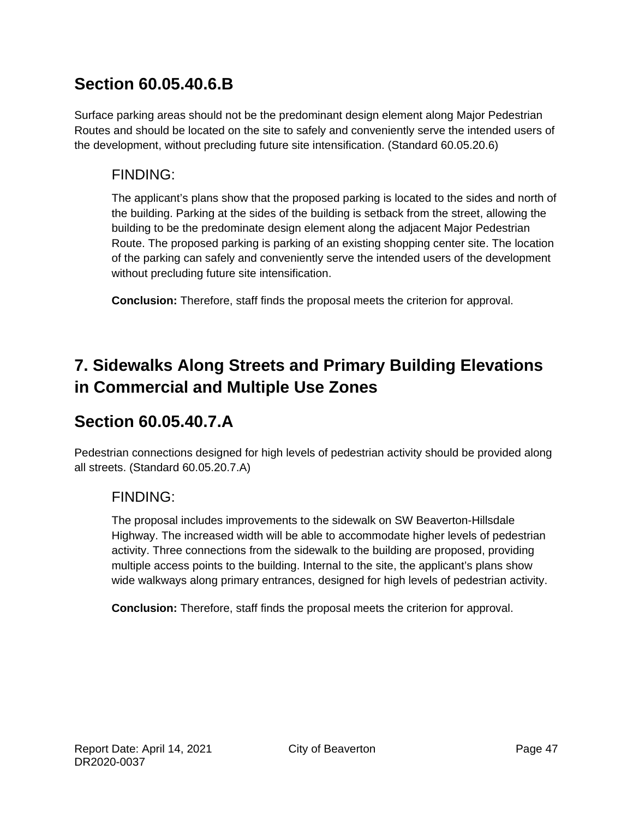# **Section 60.05.40.6.B**

Surface parking areas should not be the predominant design element along Major Pedestrian Routes and should be located on the site to safely and conveniently serve the intended users of the development, without precluding future site intensification. (Standard 60.05.20.6)

### FINDING:

The applicant's plans show that the proposed parking is located to the sides and north of the building. Parking at the sides of the building is setback from the street, allowing the building to be the predominate design element along the adjacent Major Pedestrian Route. The proposed parking is parking of an existing shopping center site. The location of the parking can safely and conveniently serve the intended users of the development without precluding future site intensification.

**Conclusion:** Therefore, staff finds the proposal meets the criterion for approval.

# **7. Sidewalks Along Streets and Primary Building Elevations in Commercial and Multiple Use Zones**

# **Section 60.05.40.7.A**

Pedestrian connections designed for high levels of pedestrian activity should be provided along all streets. (Standard 60.05.20.7.A)

### FINDING:

The proposal includes improvements to the sidewalk on SW Beaverton-Hillsdale Highway. The increased width will be able to accommodate higher levels of pedestrian activity. Three connections from the sidewalk to the building are proposed, providing multiple access points to the building. Internal to the site, the applicant's plans show wide walkways along primary entrances, designed for high levels of pedestrian activity.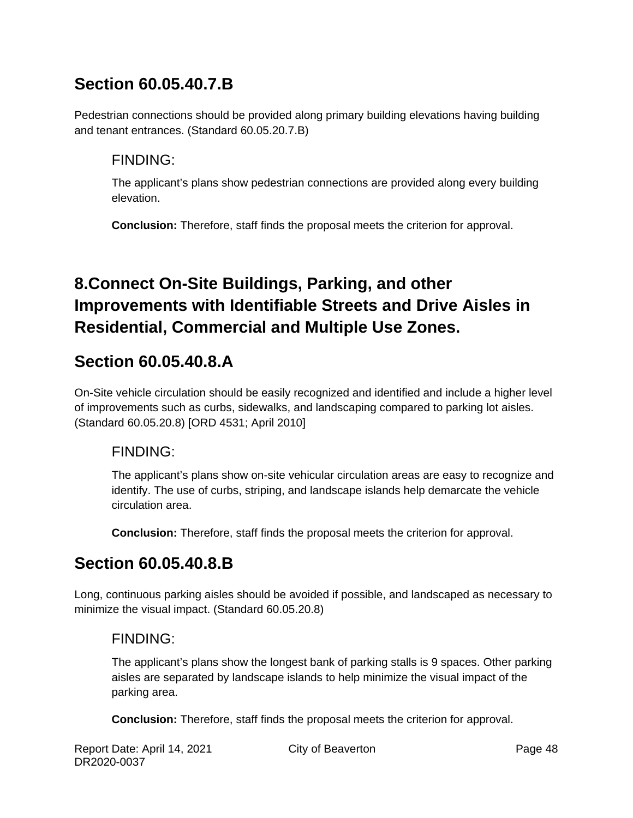# **Section 60.05.40.7.B**

Pedestrian connections should be provided along primary building elevations having building and tenant entrances. (Standard 60.05.20.7.B)

### FINDING:

The applicant's plans show pedestrian connections are provided along every building elevation.

**Conclusion:** Therefore, staff finds the proposal meets the criterion for approval.

# **8.Connect On-Site Buildings, Parking, and other Improvements with Identifiable Streets and Drive Aisles in Residential, Commercial and Multiple Use Zones.**

# **Section 60.05.40.8.A**

On-Site vehicle circulation should be easily recognized and identified and include a higher level of improvements such as curbs, sidewalks, and landscaping compared to parking lot aisles. (Standard 60.05.20.8) [ORD 4531; April 2010]

### FINDING:

The applicant's plans show on-site vehicular circulation areas are easy to recognize and identify. The use of curbs, striping, and landscape islands help demarcate the vehicle circulation area.

**Conclusion:** Therefore, staff finds the proposal meets the criterion for approval.

# **Section 60.05.40.8.B**

Long, continuous parking aisles should be avoided if possible, and landscaped as necessary to minimize the visual impact. (Standard 60.05.20.8)

### FINDING:

The applicant's plans show the longest bank of parking stalls is 9 spaces. Other parking aisles are separated by landscape islands to help minimize the visual impact of the parking area.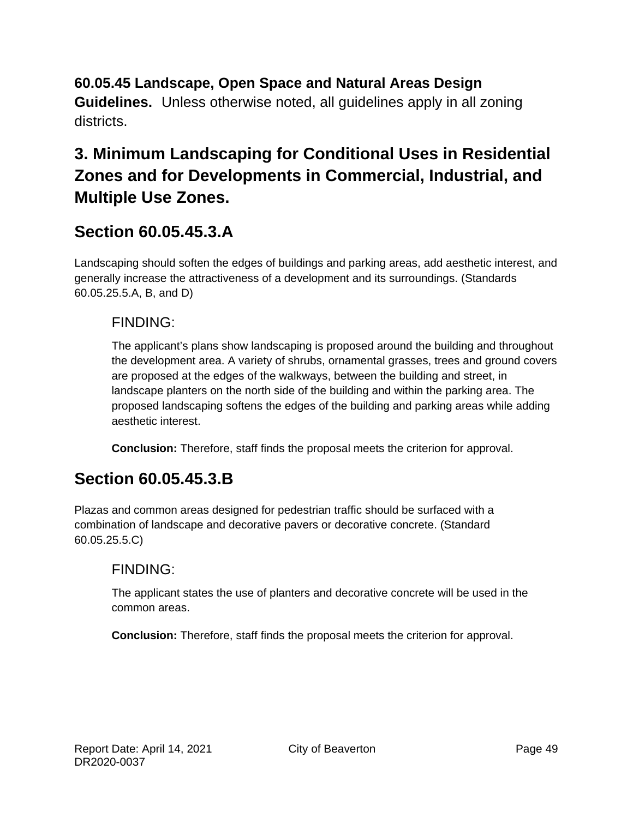### **60.05.45 Landscape, Open Space and Natural Areas Design**

**Guidelines.** Unless otherwise noted, all guidelines apply in all zoning districts.

# **3. Minimum Landscaping for Conditional Uses in Residential Zones and for Developments in Commercial, Industrial, and Multiple Use Zones.**

### **Section 60.05.45.3.A**

Landscaping should soften the edges of buildings and parking areas, add aesthetic interest, and generally increase the attractiveness of a development and its surroundings. (Standards 60.05.25.5.A, B, and D)

### FINDING:

The applicant's plans show landscaping is proposed around the building and throughout the development area. A variety of shrubs, ornamental grasses, trees and ground covers are proposed at the edges of the walkways, between the building and street, in landscape planters on the north side of the building and within the parking area. The proposed landscaping softens the edges of the building and parking areas while adding aesthetic interest.

**Conclusion:** Therefore, staff finds the proposal meets the criterion for approval.

### **Section 60.05.45.3.B**

Plazas and common areas designed for pedestrian traffic should be surfaced with a combination of landscape and decorative pavers or decorative concrete. (Standard 60.05.25.5.C)

### FINDING:

The applicant states the use of planters and decorative concrete will be used in the common areas.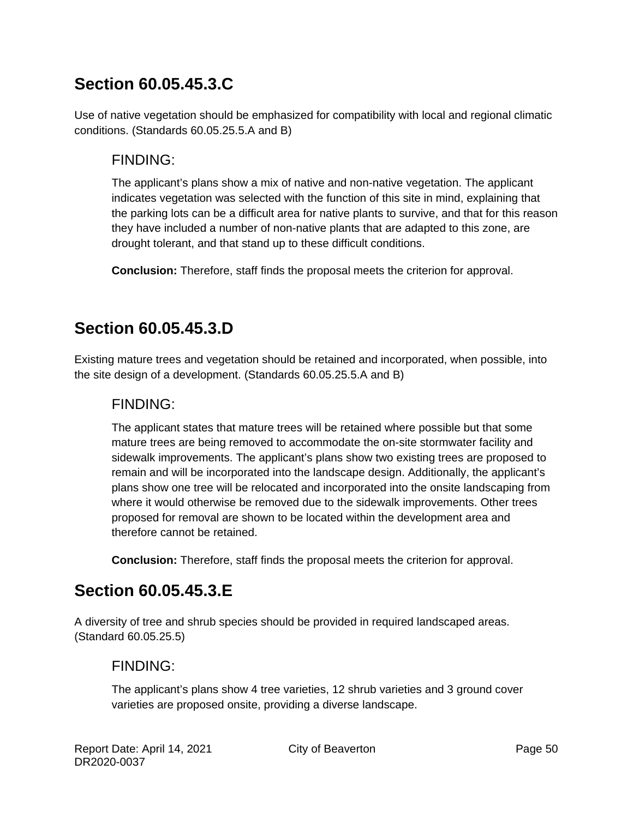# **Section 60.05.45.3.C**

Use of native vegetation should be emphasized for compatibility with local and regional climatic conditions. (Standards 60.05.25.5.A and B)

### FINDING:

The applicant's plans show a mix of native and non-native vegetation. The applicant indicates vegetation was selected with the function of this site in mind, explaining that the parking lots can be a difficult area for native plants to survive, and that for this reason they have included a number of non-native plants that are adapted to this zone, are drought tolerant, and that stand up to these difficult conditions.

**Conclusion:** Therefore, staff finds the proposal meets the criterion for approval.

# **Section 60.05.45.3.D**

Existing mature trees and vegetation should be retained and incorporated, when possible, into the site design of a development. (Standards 60.05.25.5.A and B)

### FINDING:

The applicant states that mature trees will be retained where possible but that some mature trees are being removed to accommodate the on-site stormwater facility and sidewalk improvements. The applicant's plans show two existing trees are proposed to remain and will be incorporated into the landscape design. Additionally, the applicant's plans show one tree will be relocated and incorporated into the onsite landscaping from where it would otherwise be removed due to the sidewalk improvements. Other trees proposed for removal are shown to be located within the development area and therefore cannot be retained.

**Conclusion:** Therefore, staff finds the proposal meets the criterion for approval.

# **Section 60.05.45.3.E**

A diversity of tree and shrub species should be provided in required landscaped areas. (Standard 60.05.25.5)

### FINDING:

The applicant's plans show 4 tree varieties, 12 shrub varieties and 3 ground cover varieties are proposed onsite, providing a diverse landscape.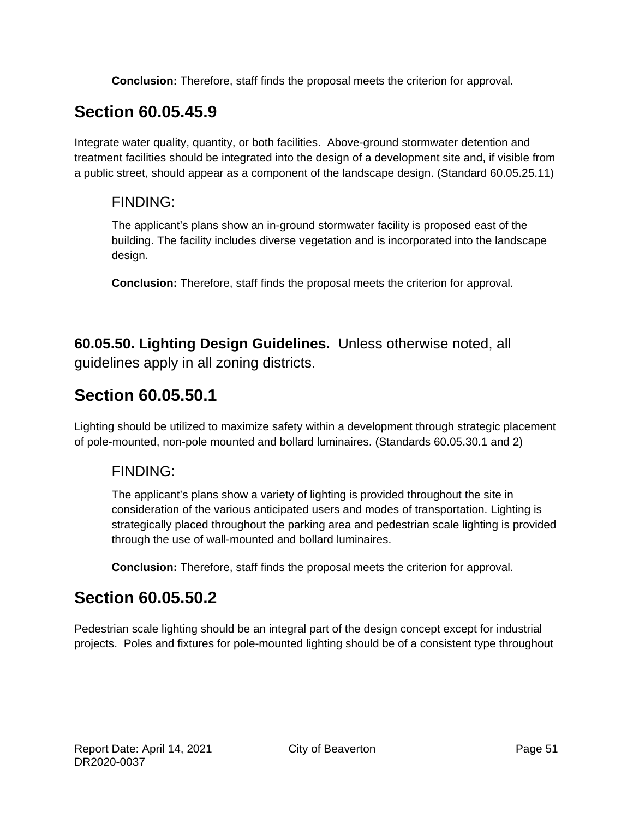**Conclusion:** Therefore, staff finds the proposal meets the criterion for approval.

# **Section 60.05.45.9**

Integrate water quality, quantity, or both facilities. Above-ground stormwater detention and treatment facilities should be integrated into the design of a development site and, if visible from a public street, should appear as a component of the landscape design. (Standard 60.05.25.11)

#### FINDING:

The applicant's plans show an in-ground stormwater facility is proposed east of the building. The facility includes diverse vegetation and is incorporated into the landscape design.

**Conclusion:** Therefore, staff finds the proposal meets the criterion for approval.

**60.05.50. Lighting Design Guidelines.** Unless otherwise noted, all guidelines apply in all zoning districts.

# **Section 60.05.50.1**

Lighting should be utilized to maximize safety within a development through strategic placement of pole-mounted, non-pole mounted and bollard luminaires. (Standards 60.05.30.1 and 2)

### FINDING:

The applicant's plans show a variety of lighting is provided throughout the site in consideration of the various anticipated users and modes of transportation. Lighting is strategically placed throughout the parking area and pedestrian scale lighting is provided through the use of wall-mounted and bollard luminaires.

**Conclusion:** Therefore, staff finds the proposal meets the criterion for approval.

# **Section 60.05.50.2**

Pedestrian scale lighting should be an integral part of the design concept except for industrial projects. Poles and fixtures for pole-mounted lighting should be of a consistent type throughout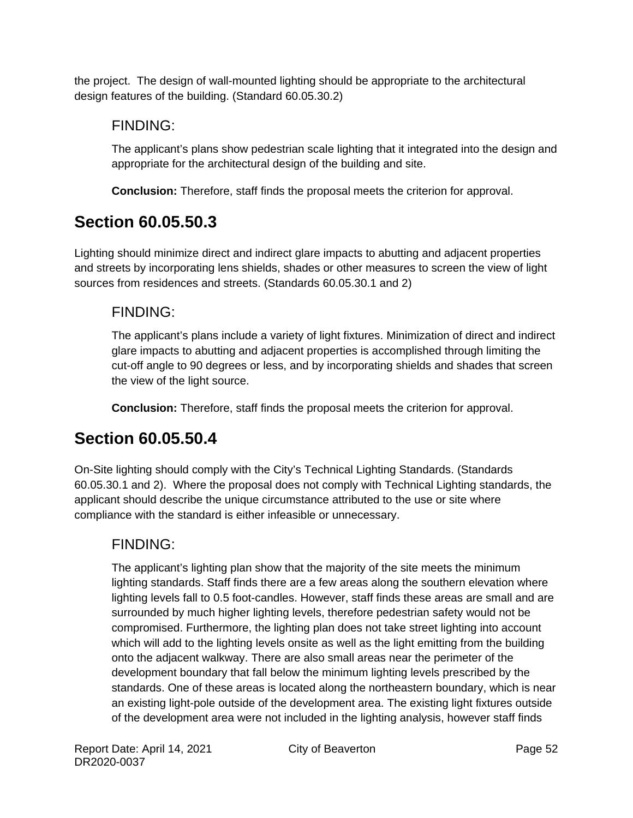the project. The design of wall-mounted lighting should be appropriate to the architectural design features of the building. (Standard 60.05.30.2)

### FINDING:

The applicant's plans show pedestrian scale lighting that it integrated into the design and appropriate for the architectural design of the building and site.

**Conclusion:** Therefore, staff finds the proposal meets the criterion for approval.

# **Section 60.05.50.3**

Lighting should minimize direct and indirect glare impacts to abutting and adjacent properties and streets by incorporating lens shields, shades or other measures to screen the view of light sources from residences and streets. (Standards 60.05.30.1 and 2)

### FINDING:

The applicant's plans include a variety of light fixtures. Minimization of direct and indirect glare impacts to abutting and adjacent properties is accomplished through limiting the cut-off angle to 90 degrees or less, and by incorporating shields and shades that screen the view of the light source.

**Conclusion:** Therefore, staff finds the proposal meets the criterion for approval.

# **Section 60.05.50.4**

On-Site lighting should comply with the City's Technical Lighting Standards. (Standards 60.05.30.1 and 2). Where the proposal does not comply with Technical Lighting standards, the applicant should describe the unique circumstance attributed to the use or site where compliance with the standard is either infeasible or unnecessary.

### FINDING:

The applicant's lighting plan show that the majority of the site meets the minimum lighting standards. Staff finds there are a few areas along the southern elevation where lighting levels fall to 0.5 foot-candles. However, staff finds these areas are small and are surrounded by much higher lighting levels, therefore pedestrian safety would not be compromised. Furthermore, the lighting plan does not take street lighting into account which will add to the lighting levels onsite as well as the light emitting from the building onto the adjacent walkway. There are also small areas near the perimeter of the development boundary that fall below the minimum lighting levels prescribed by the standards. One of these areas is located along the northeastern boundary, which is near an existing light-pole outside of the development area. The existing light fixtures outside of the development area were not included in the lighting analysis, however staff finds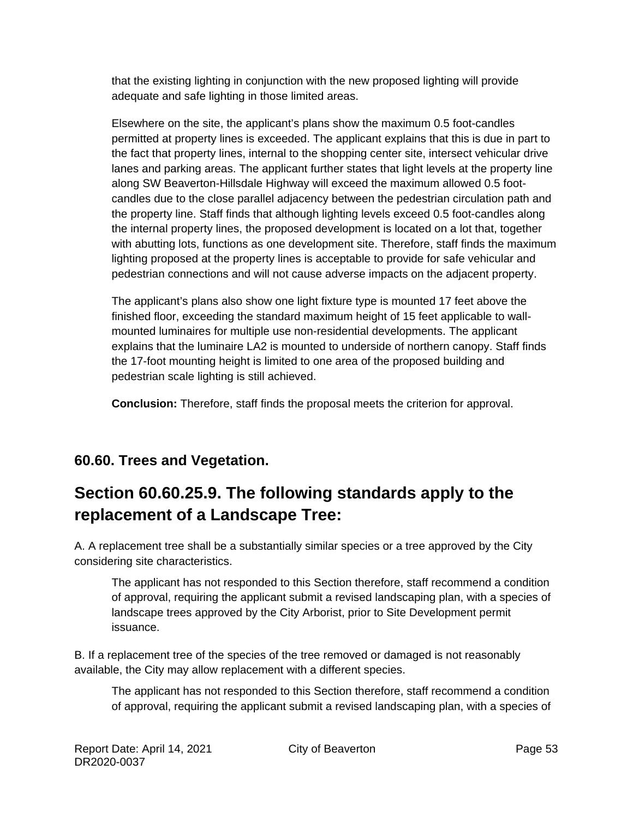that the existing lighting in conjunction with the new proposed lighting will provide adequate and safe lighting in those limited areas.

Elsewhere on the site, the applicant's plans show the maximum 0.5 foot-candles permitted at property lines is exceeded. The applicant explains that this is due in part to the fact that property lines, internal to the shopping center site, intersect vehicular drive lanes and parking areas. The applicant further states that light levels at the property line along SW Beaverton-Hillsdale Highway will exceed the maximum allowed 0.5 footcandles due to the close parallel adjacency between the pedestrian circulation path and the property line. Staff finds that although lighting levels exceed 0.5 foot-candles along the internal property lines, the proposed development is located on a lot that, together with abutting lots, functions as one development site. Therefore, staff finds the maximum lighting proposed at the property lines is acceptable to provide for safe vehicular and pedestrian connections and will not cause adverse impacts on the adjacent property.

The applicant's plans also show one light fixture type is mounted 17 feet above the finished floor, exceeding the standard maximum height of 15 feet applicable to wallmounted luminaires for multiple use non-residential developments. The applicant explains that the luminaire LA2 is mounted to underside of northern canopy. Staff finds the 17-foot mounting height is limited to one area of the proposed building and pedestrian scale lighting is still achieved.

**Conclusion:** Therefore, staff finds the proposal meets the criterion for approval.

### **60.60. Trees and Vegetation.**

# **Section 60.60.25.9. The following standards apply to the replacement of a Landscape Tree:**

A. A replacement tree shall be a substantially similar species or a tree approved by the City considering site characteristics.

The applicant has not responded to this Section therefore, staff recommend a condition of approval, requiring the applicant submit a revised landscaping plan, with a species of landscape trees approved by the City Arborist, prior to Site Development permit issuance.

B. If a replacement tree of the species of the tree removed or damaged is not reasonably available, the City may allow replacement with a different species.

The applicant has not responded to this Section therefore, staff recommend a condition of approval, requiring the applicant submit a revised landscaping plan, with a species of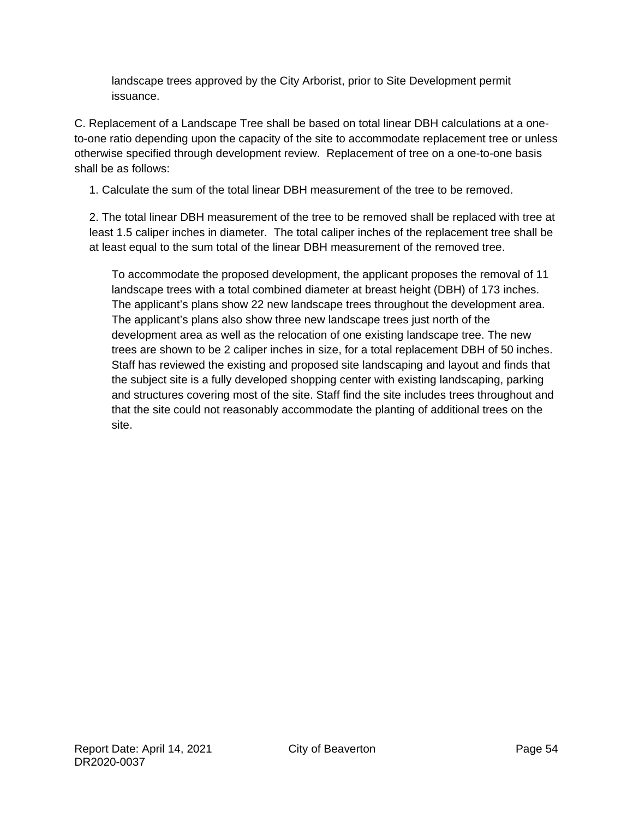landscape trees approved by the City Arborist, prior to Site Development permit issuance.

C. Replacement of a Landscape Tree shall be based on total linear DBH calculations at a oneto-one ratio depending upon the capacity of the site to accommodate replacement tree or unless otherwise specified through development review. Replacement of tree on a one-to-one basis shall be as follows:

1. Calculate the sum of the total linear DBH measurement of the tree to be removed.

2. The total linear DBH measurement of the tree to be removed shall be replaced with tree at least 1.5 caliper inches in diameter. The total caliper inches of the replacement tree shall be at least equal to the sum total of the linear DBH measurement of the removed tree.

To accommodate the proposed development, the applicant proposes the removal of 11 landscape trees with a total combined diameter at breast height (DBH) of 173 inches. The applicant's plans show 22 new landscape trees throughout the development area. The applicant's plans also show three new landscape trees just north of the development area as well as the relocation of one existing landscape tree. The new trees are shown to be 2 caliper inches in size, for a total replacement DBH of 50 inches. Staff has reviewed the existing and proposed site landscaping and layout and finds that the subject site is a fully developed shopping center with existing landscaping, parking and structures covering most of the site. Staff find the site includes trees throughout and that the site could not reasonably accommodate the planting of additional trees on the site.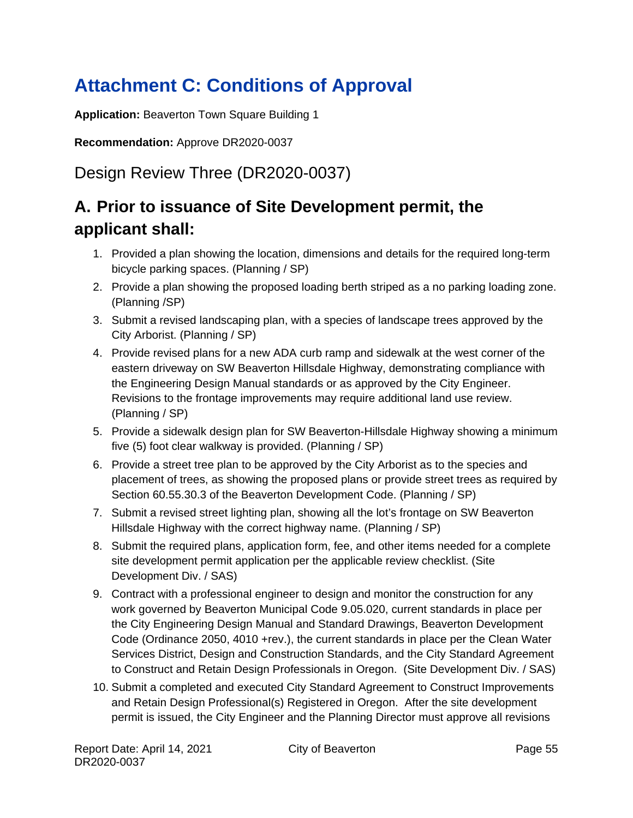# <span id="page-54-0"></span>**Attachment C: Conditions of Approval**

**Application:** Beaverton Town Square Building 1

**Recommendation:** Approve DR2020-0037

Design Review Three (DR2020-0037)

# **A. Prior to issuance of Site Development permit, the applicant shall:**

- 1. Provided a plan showing the location, dimensions and details for the required long-term bicycle parking spaces. (Planning / SP)
- 2. Provide a plan showing the proposed loading berth striped as a no parking loading zone. (Planning /SP)
- 3. Submit a revised landscaping plan, with a species of landscape trees approved by the City Arborist. (Planning / SP)
- 4. Provide revised plans for a new ADA curb ramp and sidewalk at the west corner of the eastern driveway on SW Beaverton Hillsdale Highway, demonstrating compliance with the Engineering Design Manual standards or as approved by the City Engineer. Revisions to the frontage improvements may require additional land use review. (Planning / SP)
- 5. Provide a sidewalk design plan for SW Beaverton-Hillsdale Highway showing a minimum five (5) foot clear walkway is provided. (Planning / SP)
- 6. Provide a street tree plan to be approved by the City Arborist as to the species and placement of trees, as showing the proposed plans or provide street trees as required by Section 60.55.30.3 of the Beaverton Development Code. (Planning / SP)
- 7. Submit a revised street lighting plan, showing all the lot's frontage on SW Beaverton Hillsdale Highway with the correct highway name. (Planning / SP)
- 8. Submit the required plans, application form, fee, and other items needed for a complete site development permit application per the applicable review checklist. (Site Development Div. / SAS)
- 9. Contract with a professional engineer to design and monitor the construction for any work governed by Beaverton Municipal Code 9.05.020, current standards in place per the City Engineering Design Manual and Standard Drawings, Beaverton Development Code (Ordinance 2050, 4010 +rev.), the current standards in place per the Clean Water Services District, Design and Construction Standards, and the City Standard Agreement to Construct and Retain Design Professionals in Oregon. (Site Development Div. / SAS)
- 10. Submit a completed and executed City Standard Agreement to Construct Improvements and Retain Design Professional(s) Registered in Oregon. After the site development permit is issued, the City Engineer and the Planning Director must approve all revisions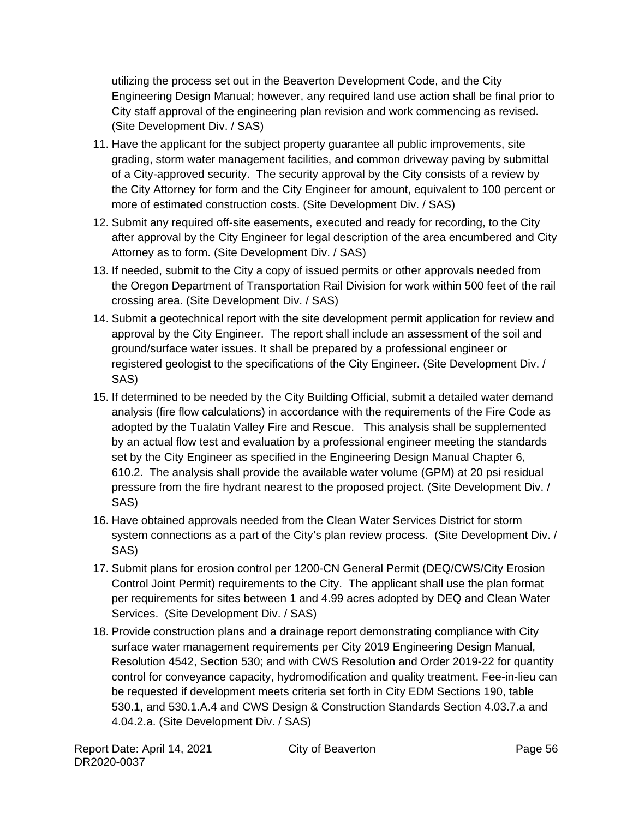utilizing the process set out in the Beaverton Development Code, and the City Engineering Design Manual; however, any required land use action shall be final prior to City staff approval of the engineering plan revision and work commencing as revised. (Site Development Div. / SAS)

- 11. Have the applicant for the subject property guarantee all public improvements, site grading, storm water management facilities, and common driveway paving by submittal of a City-approved security. The security approval by the City consists of a review by the City Attorney for form and the City Engineer for amount, equivalent to 100 percent or more of estimated construction costs. (Site Development Div. / SAS)
- 12. Submit any required off-site easements, executed and ready for recording, to the City after approval by the City Engineer for legal description of the area encumbered and City Attorney as to form. (Site Development Div. / SAS)
- 13. If needed, submit to the City a copy of issued permits or other approvals needed from the Oregon Department of Transportation Rail Division for work within 500 feet of the rail crossing area. (Site Development Div. / SAS)
- 14. Submit a geotechnical report with the site development permit application for review and approval by the City Engineer. The report shall include an assessment of the soil and ground/surface water issues. It shall be prepared by a professional engineer or registered geologist to the specifications of the City Engineer. (Site Development Div. / SAS)
- 15. If determined to be needed by the City Building Official, submit a detailed water demand analysis (fire flow calculations) in accordance with the requirements of the Fire Code as adopted by the Tualatin Valley Fire and Rescue. This analysis shall be supplemented by an actual flow test and evaluation by a professional engineer meeting the standards set by the City Engineer as specified in the Engineering Design Manual Chapter 6, 610.2. The analysis shall provide the available water volume (GPM) at 20 psi residual pressure from the fire hydrant nearest to the proposed project. (Site Development Div. / SAS)
- 16. Have obtained approvals needed from the Clean Water Services District for storm system connections as a part of the City's plan review process. (Site Development Div. / SAS)
- 17. Submit plans for erosion control per 1200-CN General Permit (DEQ/CWS/City Erosion Control Joint Permit) requirements to the City. The applicant shall use the plan format per requirements for sites between 1 and 4.99 acres adopted by DEQ and Clean Water Services. (Site Development Div. / SAS)
- 18. Provide construction plans and a drainage report demonstrating compliance with City surface water management requirements per City 2019 Engineering Design Manual, Resolution 4542, Section 530; and with CWS Resolution and Order 2019-22 for quantity control for conveyance capacity, hydromodification and quality treatment. Fee-in-lieu can be requested if development meets criteria set forth in City EDM Sections 190, table 530.1, and 530.1.A.4 and CWS Design & Construction Standards Section 4.03.7.a and 4.04.2.a. (Site Development Div. / SAS)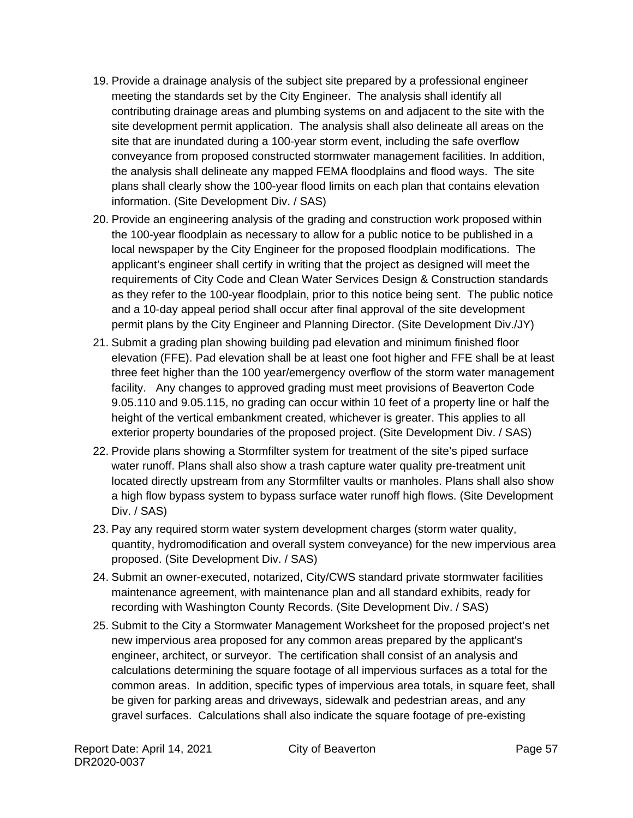- 19. Provide a drainage analysis of the subject site prepared by a professional engineer meeting the standards set by the City Engineer. The analysis shall identify all contributing drainage areas and plumbing systems on and adjacent to the site with the site development permit application. The analysis shall also delineate all areas on the site that are inundated during a 100-year storm event, including the safe overflow conveyance from proposed constructed stormwater management facilities. In addition, the analysis shall delineate any mapped FEMA floodplains and flood ways. The site plans shall clearly show the 100-year flood limits on each plan that contains elevation information. (Site Development Div. / SAS)
- 20. Provide an engineering analysis of the grading and construction work proposed within the 100-year floodplain as necessary to allow for a public notice to be published in a local newspaper by the City Engineer for the proposed floodplain modifications. The applicant's engineer shall certify in writing that the project as designed will meet the requirements of City Code and Clean Water Services Design & Construction standards as they refer to the 100-year floodplain, prior to this notice being sent. The public notice and a 10-day appeal period shall occur after final approval of the site development permit plans by the City Engineer and Planning Director. (Site Development Div./JY)
- 21. Submit a grading plan showing building pad elevation and minimum finished floor elevation (FFE). Pad elevation shall be at least one foot higher and FFE shall be at least three feet higher than the 100 year/emergency overflow of the storm water management facility. Any changes to approved grading must meet provisions of Beaverton Code 9.05.110 and 9.05.115, no grading can occur within 10 feet of a property line or half the height of the vertical embankment created, whichever is greater. This applies to all exterior property boundaries of the proposed project. (Site Development Div. / SAS)
- 22. Provide plans showing a Stormfilter system for treatment of the site's piped surface water runoff. Plans shall also show a trash capture water quality pre-treatment unit located directly upstream from any Stormfilter vaults or manholes. Plans shall also show a high flow bypass system to bypass surface water runoff high flows. (Site Development Div. / SAS)
- 23. Pay any required storm water system development charges (storm water quality, quantity, hydromodification and overall system conveyance) for the new impervious area proposed. (Site Development Div. / SAS)
- 24. Submit an owner-executed, notarized, City/CWS standard private stormwater facilities maintenance agreement, with maintenance plan and all standard exhibits, ready for recording with Washington County Records. (Site Development Div. / SAS)
- 25. Submit to the City a Stormwater Management Worksheet for the proposed project's net new impervious area proposed for any common areas prepared by the applicant's engineer, architect, or surveyor. The certification shall consist of an analysis and calculations determining the square footage of all impervious surfaces as a total for the common areas. In addition, specific types of impervious area totals, in square feet, shall be given for parking areas and driveways, sidewalk and pedestrian areas, and any gravel surfaces. Calculations shall also indicate the square footage of pre-existing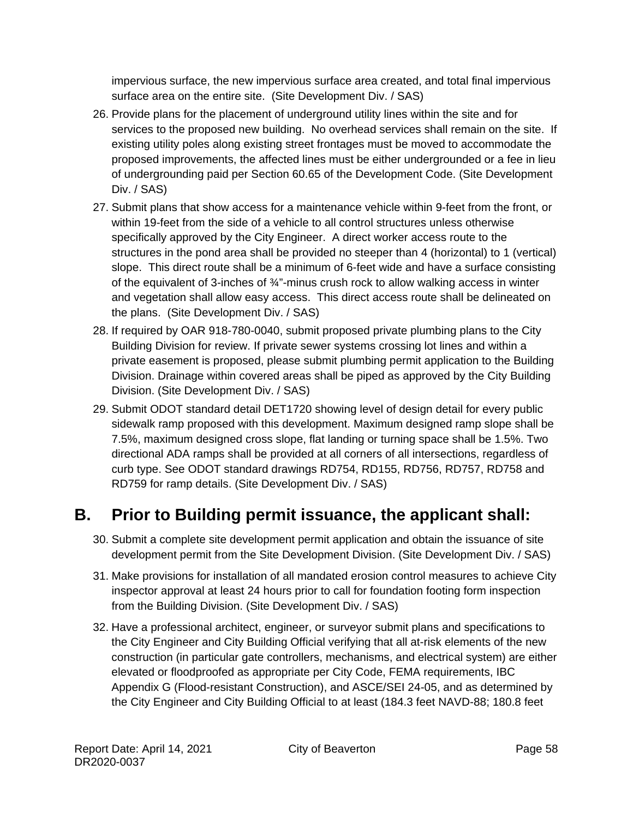impervious surface, the new impervious surface area created, and total final impervious surface area on the entire site. (Site Development Div. / SAS)

- 26. Provide plans for the placement of underground utility lines within the site and for services to the proposed new building. No overhead services shall remain on the site. If existing utility poles along existing street frontages must be moved to accommodate the proposed improvements, the affected lines must be either undergrounded or a fee in lieu of undergrounding paid per Section 60.65 of the Development Code. (Site Development Div. / SAS)
- 27. Submit plans that show access for a maintenance vehicle within 9-feet from the front, or within 19-feet from the side of a vehicle to all control structures unless otherwise specifically approved by the City Engineer. A direct worker access route to the structures in the pond area shall be provided no steeper than 4 (horizontal) to 1 (vertical) slope. This direct route shall be a minimum of 6-feet wide and have a surface consisting of the equivalent of 3-inches of ¾"-minus crush rock to allow walking access in winter and vegetation shall allow easy access. This direct access route shall be delineated on the plans. (Site Development Div. / SAS)
- 28. If required by OAR 918-780-0040, submit proposed private plumbing plans to the City Building Division for review. If private sewer systems crossing lot lines and within a private easement is proposed, please submit plumbing permit application to the Building Division. Drainage within covered areas shall be piped as approved by the City Building Division. (Site Development Div. / SAS)
- 29. Submit ODOT standard detail DET1720 showing level of design detail for every public sidewalk ramp proposed with this development. Maximum designed ramp slope shall be 7.5%, maximum designed cross slope, flat landing or turning space shall be 1.5%. Two directional ADA ramps shall be provided at all corners of all intersections, regardless of curb type. See ODOT standard drawings RD754, RD155, RD756, RD757, RD758 and RD759 for ramp details. (Site Development Div. / SAS)

# **B. Prior to Building permit issuance, the applicant shall:**

- 30. Submit a complete site development permit application and obtain the issuance of site development permit from the Site Development Division. (Site Development Div. / SAS)
- 31. Make provisions for installation of all mandated erosion control measures to achieve City inspector approval at least 24 hours prior to call for foundation footing form inspection from the Building Division. (Site Development Div. / SAS)
- 32. Have a professional architect, engineer, or surveyor submit plans and specifications to the City Engineer and City Building Official verifying that all at-risk elements of the new construction (in particular gate controllers, mechanisms, and electrical system) are either elevated or floodproofed as appropriate per City Code, FEMA requirements, IBC Appendix G (Flood-resistant Construction), and ASCE/SEI 24-05, and as determined by the City Engineer and City Building Official to at least (184.3 feet NAVD-88; 180.8 feet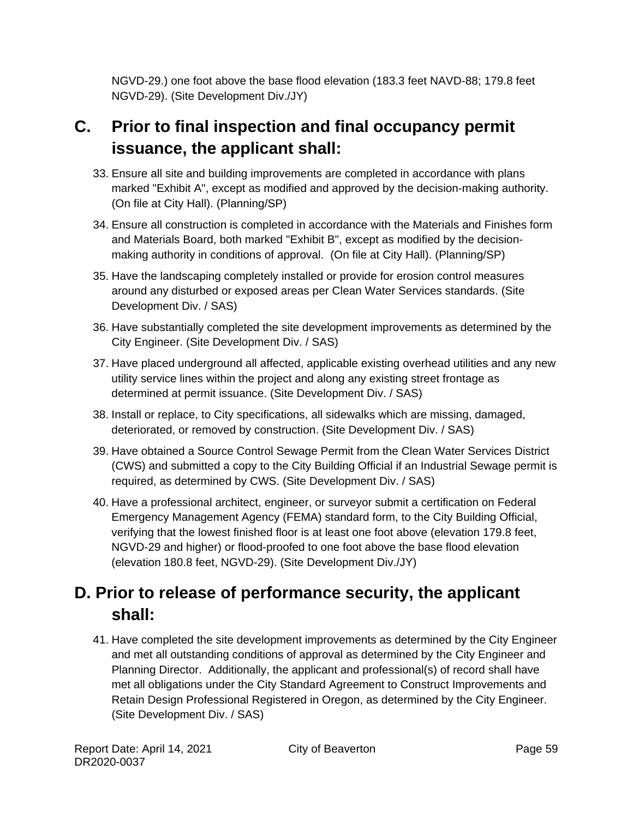NGVD-29.) one foot above the base flood elevation (183.3 feet NAVD-88; 179.8 feet NGVD-29). (Site Development Div./JY)

# **C. Prior to final inspection and final occupancy permit issuance, the applicant shall:**

- 33. Ensure all site and building improvements are completed in accordance with plans marked "Exhibit A", except as modified and approved by the decision-making authority. (On file at City Hall). (Planning/SP)
- 34. Ensure all construction is completed in accordance with the Materials and Finishes form and Materials Board, both marked "Exhibit B", except as modified by the decisionmaking authority in conditions of approval. (On file at City Hall). (Planning/SP)
- 35. Have the landscaping completely installed or provide for erosion control measures around any disturbed or exposed areas per Clean Water Services standards. (Site Development Div. / SAS)
- 36. Have substantially completed the site development improvements as determined by the City Engineer. (Site Development Div. / SAS)
- 37. Have placed underground all affected, applicable existing overhead utilities and any new utility service lines within the project and along any existing street frontage as determined at permit issuance. (Site Development Div. / SAS)
- 38. Install or replace, to City specifications, all sidewalks which are missing, damaged, deteriorated, or removed by construction. (Site Development Div. / SAS)
- 39. Have obtained a Source Control Sewage Permit from the Clean Water Services District (CWS) and submitted a copy to the City Building Official if an Industrial Sewage permit is required, as determined by CWS. (Site Development Div. / SAS)
- 40. Have a professional architect, engineer, or surveyor submit a certification on Federal Emergency Management Agency (FEMA) standard form, to the City Building Official, verifying that the lowest finished floor is at least one foot above (elevation 179.8 feet, NGVD-29 and higher) or flood-proofed to one foot above the base flood elevation (elevation 180.8 feet, NGVD-29). (Site Development Div./JY)

# **D. Prior to release of performance security, the applicant shall:**

41. Have completed the site development improvements as determined by the City Engineer and met all outstanding conditions of approval as determined by the City Engineer and Planning Director. Additionally, the applicant and professional(s) of record shall have met all obligations under the City Standard Agreement to Construct Improvements and Retain Design Professional Registered in Oregon, as determined by the City Engineer. (Site Development Div. / SAS)